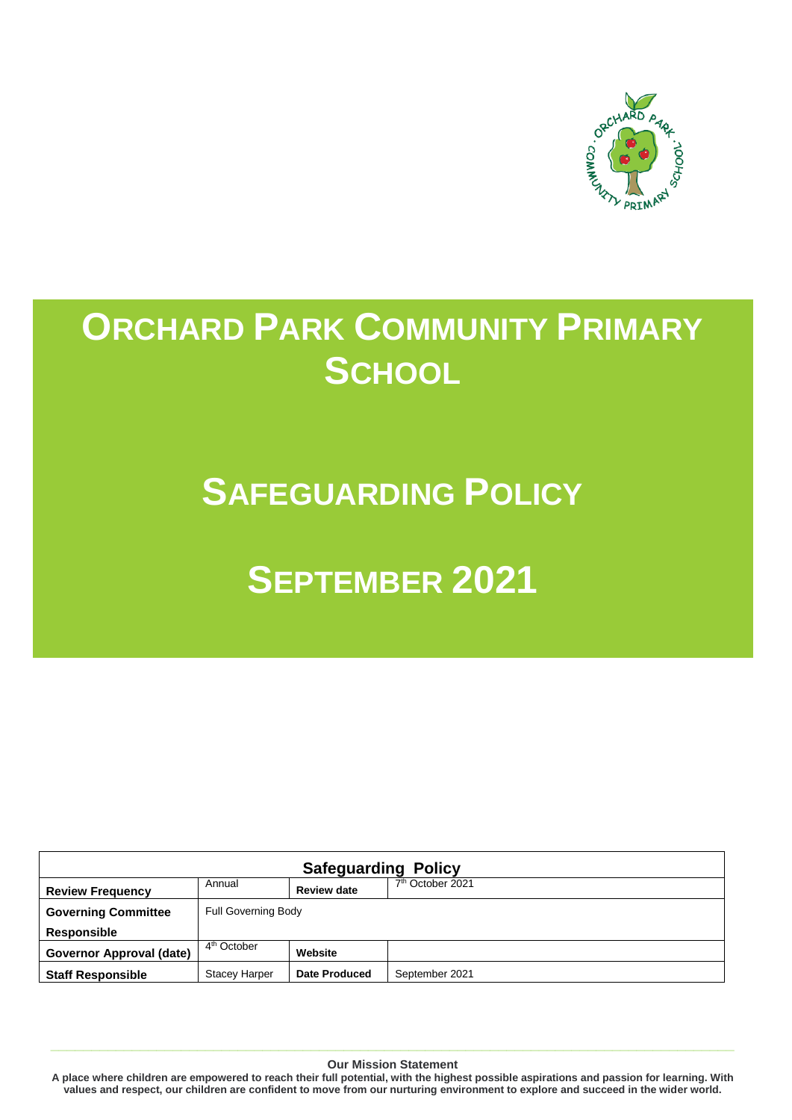

# **ORCHARD PARK COMMUNITY PRIMARY SCHOOL**

## **SAFEGUARDING POLICY**

# **SEPTEMBER 2021**

| <b>Safeguarding Policy</b> |                            |                    |                              |  |
|----------------------------|----------------------------|--------------------|------------------------------|--|
| <b>Review Frequency</b>    | Annual                     | <b>Review date</b> | 7 <sup>th</sup> October 2021 |  |
| <b>Governing Committee</b> | <b>Full Governing Body</b> |                    |                              |  |
| <b>Responsible</b>         |                            |                    |                              |  |
| Governor Approval (date)   | 4 <sup>th</sup> October    | Website            |                              |  |
| <b>Staff Responsible</b>   | <b>Stacey Harper</b>       | Date Produced      | September 2021               |  |

**Our Mission Statement**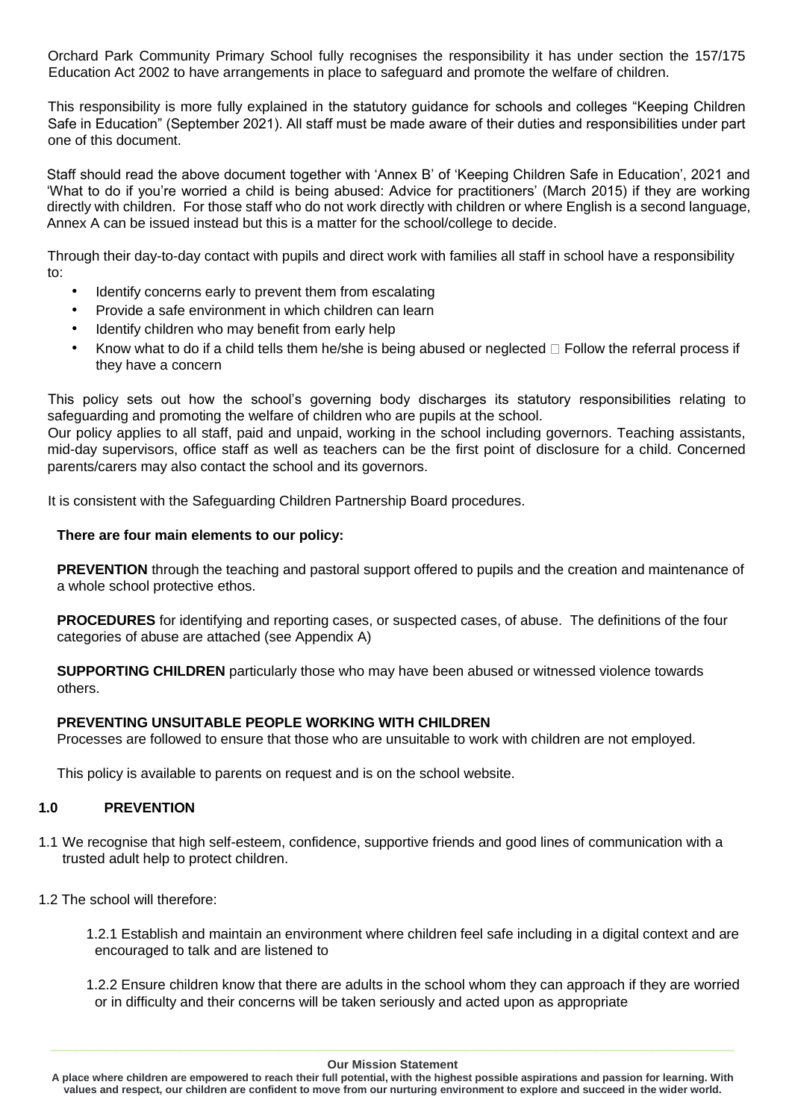Orchard Park Community Primary School fully recognises the responsibility it has under section the 157/175 Education Act 2002 to have arrangements in place to safeguard and promote the welfare of children.

This responsibility is more fully explained in the statutory guidance for schools and colleges "Keeping Children Safe in Education" (September 2021). All staff must be made aware of their duties and responsibilities under part one of this document.

Staff should read the above document together with 'Annex B' of 'Keeping Children Safe in Education', 2021 and 'What to do if you're worried a child is being abused: Advice for practitioners' (March 2015) if they are working directly with children. For those staff who do not work directly with children or where English is a second language, Annex A can be issued instead but this is a matter for the school/college to decide.

Through their day-to-day contact with pupils and direct work with families all staff in school have a responsibility to:

- Identify concerns early to prevent them from escalating
- Provide a safe environment in which children can learn
- Identify children who may benefit from early help
- Know what to do if a child tells them he/she is being abused or neglected  $\Box$  Follow the referral process if they have a concern

This policy sets out how the school's governing body discharges its statutory responsibilities relating to safeguarding and promoting the welfare of children who are pupils at the school.

Our policy applies to all staff, paid and unpaid, working in the school including governors. Teaching assistants, mid-day supervisors, office staff as well as teachers can be the first point of disclosure for a child. Concerned parents/carers may also contact the school and its governors.

It is consistent with the Safeguarding Children Partnership Board procedures.

## **There are four main elements to our policy:**

**PREVENTION** through the teaching and pastoral support offered to pupils and the creation and maintenance of a whole school protective ethos.

**PROCEDURES** for identifying and reporting cases, or suspected cases, of abuse. The definitions of the four categories of abuse are attached (see Appendix A)

**SUPPORTING CHILDREN** particularly those who may have been abused or witnessed violence towards others.

## **PREVENTING UNSUITABLE PEOPLE WORKING WITH CHILDREN**

Processes are followed to ensure that those who are unsuitable to work with children are not employed.

This policy is available to parents on request and is on the school website.

## **1.0 PREVENTION**

- 1.1 We recognise that high self-esteem, confidence, supportive friends and good lines of communication with a trusted adult help to protect children.
- 1.2 The school will therefore:
	- 1.2.1 Establish and maintain an environment where children feel safe including in a digital context and are encouraged to talk and are listened to
	- 1.2.2 Ensure children know that there are adults in the school whom they can approach if they are worried or in difficulty and their concerns will be taken seriously and acted upon as appropriate

**A place where children are empowered to reach their full potential, with the highest possible aspirations and passion for learning. With values and respect, our children are confident to move from our nurturing environment to explore and succeed in the wider world.**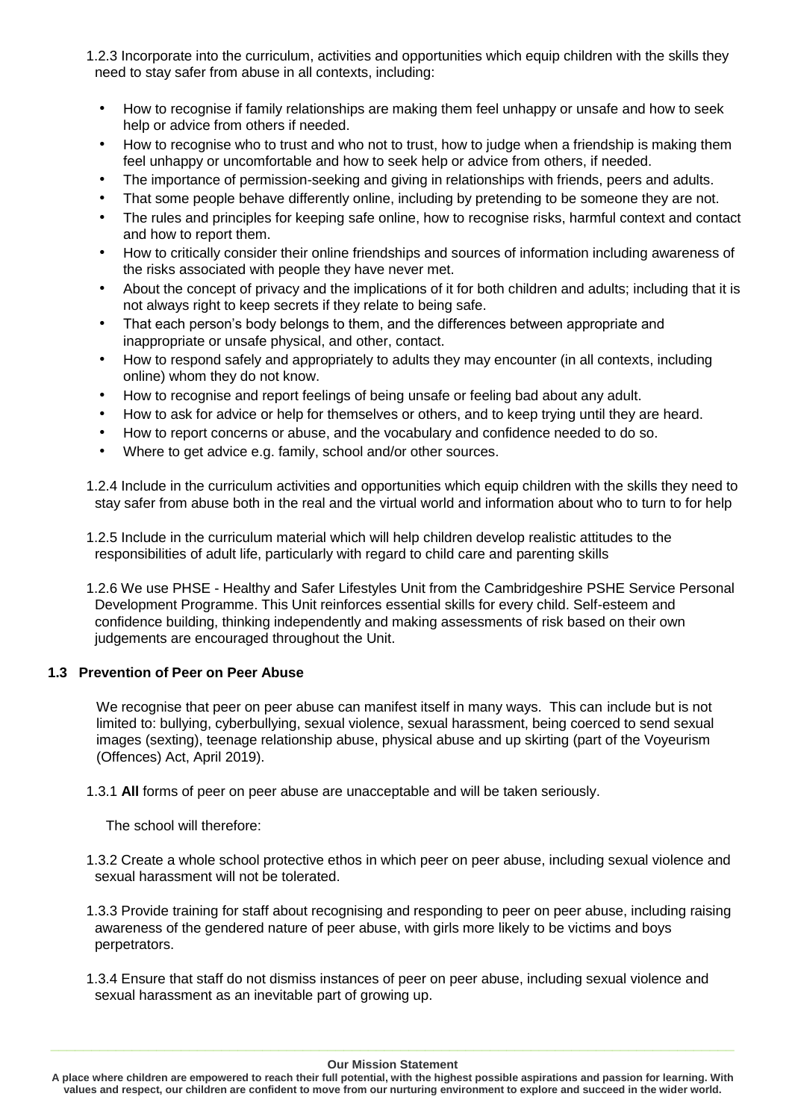- 1.2.3 Incorporate into the curriculum, activities and opportunities which equip children with the skills they need to stay safer from abuse in all contexts, including:
	- How to recognise if family relationships are making them feel unhappy or unsafe and how to seek help or advice from others if needed.
	- How to recognise who to trust and who not to trust, how to judge when a friendship is making them feel unhappy or uncomfortable and how to seek help or advice from others, if needed.
	- The importance of permission-seeking and giving in relationships with friends, peers and adults.
	- That some people behave differently online, including by pretending to be someone they are not.
	- The rules and principles for keeping safe online, how to recognise risks, harmful context and contact and how to report them.
	- How to critically consider their online friendships and sources of information including awareness of the risks associated with people they have never met.
	- About the concept of privacy and the implications of it for both children and adults; including that it is not always right to keep secrets if they relate to being safe.
	- That each person's body belongs to them, and the differences between appropriate and inappropriate or unsafe physical, and other, contact.
	- How to respond safely and appropriately to adults they may encounter (in all contexts, including online) whom they do not know.
	- How to recognise and report feelings of being unsafe or feeling bad about any adult.
	- How to ask for advice or help for themselves or others, and to keep trying until they are heard.
	- How to report concerns or abuse, and the vocabulary and confidence needed to do so.
	- Where to get advice e.g. family, school and/or other sources.
- 1.2.4 Include in the curriculum activities and opportunities which equip children with the skills they need to stay safer from abuse both in the real and the virtual world and information about who to turn to for help

1.2.5 Include in the curriculum material which will help children develop realistic attitudes to the responsibilities of adult life, particularly with regard to child care and parenting skills

1.2.6 We use PHSE - Healthy and Safer Lifestyles Unit from the Cambridgeshire PSHE Service Personal Development Programme. This Unit reinforces essential skills for every child. Self-esteem and confidence building, thinking independently and making assessments of risk based on their own judgements are encouraged throughout the Unit.

## **1.3 Prevention of Peer on Peer Abuse**

We recognise that peer on peer abuse can manifest itself in many ways. This can include but is not limited to: bullying, cyberbullying, sexual violence, sexual harassment, being coerced to send sexual images (sexting), teenage relationship abuse, physical abuse and up skirting (part of the Voyeurism (Offences) Act, April 2019).

1.3.1 **All** forms of peer on peer abuse are unacceptable and will be taken seriously.

The school will therefore:

- 1.3.2 Create a whole school protective ethos in which peer on peer abuse, including sexual violence and sexual harassment will not be tolerated.
- 1.3.3 Provide training for staff about recognising and responding to peer on peer abuse, including raising awareness of the gendered nature of peer abuse, with girls more likely to be victims and boys perpetrators.
- 1.3.4 Ensure that staff do not dismiss instances of peer on peer abuse, including sexual violence and sexual harassment as an inevitable part of growing up.

**A place where children are empowered to reach their full potential, with the highest possible aspirations and passion for learning. With values and respect, our children are confident to move from our nurturing environment to explore and succeed in the wider world.**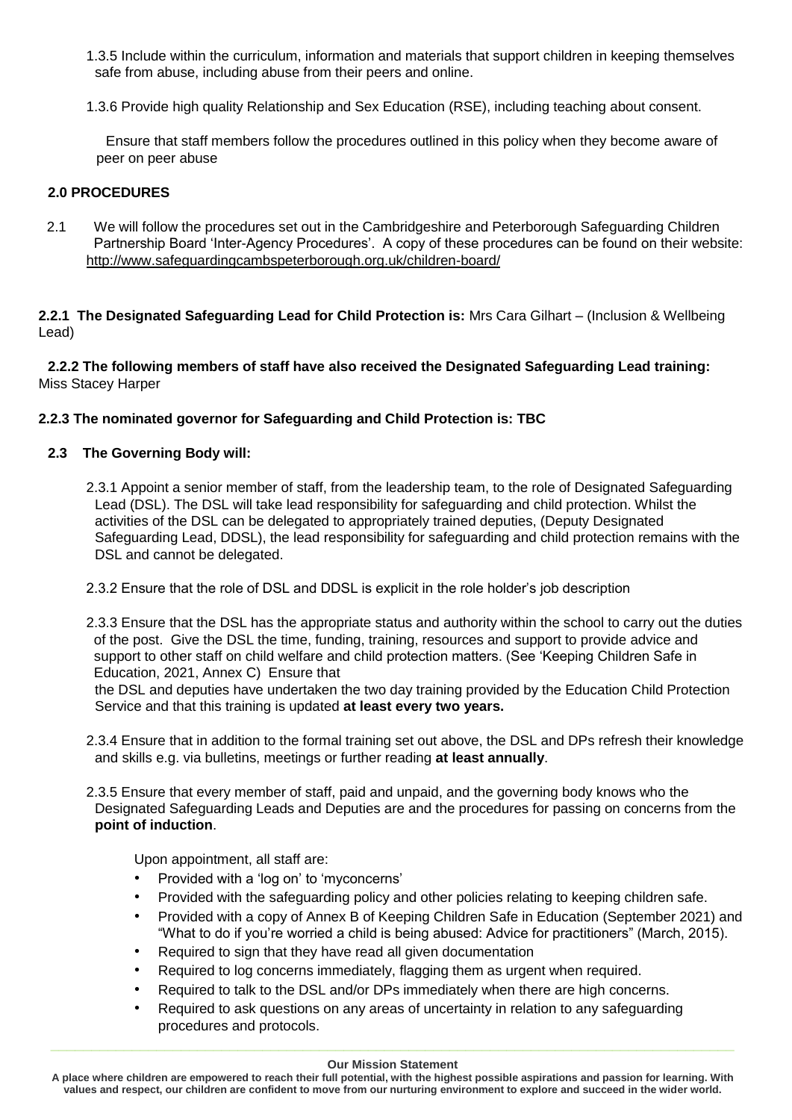- 1.3.5 Include within the curriculum, information and materials that support children in keeping themselves safe from abuse, including abuse from their peers and online.
- 1.3.6 Provide high quality Relationship and Sex Education (RSE), including teaching about consent.

Ensure that staff members follow the procedures outlined in this policy when they become aware of peer on peer abuse

## **2.0 PROCEDURES**

2.1 We will follow the procedures set out in the Cambridgeshire and Peterborough Safeguarding Children Partnership Board 'Inter-Agency Procedures'. A copy of these procedures can be found on their website: <http://www.safeguardingcambspeterborough.org.uk/children-board/>

**2.2.1 The Designated Safeguarding Lead for Child Protection is:** Mrs Cara Gilhart – (Inclusion & Wellbeing Lead)

**2.2.2 The following members of staff have also received the Designated Safeguarding Lead training:**  Miss Stacey Harper

## **2.2.3 The nominated governor for Safeguarding and Child Protection is: TBC**

## **2.3 The Governing Body will:**

- 2.3.1 Appoint a senior member of staff, from the leadership team, to the role of Designated Safeguarding Lead (DSL). The DSL will take lead responsibility for safeguarding and child protection. Whilst the activities of the DSL can be delegated to appropriately trained deputies, (Deputy Designated Safeguarding Lead, DDSL), the lead responsibility for safeguarding and child protection remains with the DSL and cannot be delegated.
- 2.3.2 Ensure that the role of DSL and DDSL is explicit in the role holder's job description
- 2.3.3 Ensure that the DSL has the appropriate status and authority within the school to carry out the duties of the post. Give the DSL the time, funding, training, resources and support to provide advice and support to other staff on child welfare and child protection matters. (See 'Keeping Children Safe in Education, 2021, Annex C) Ensure that

the DSL and deputies have undertaken the two day training provided by the Education Child Protection Service and that this training is updated **at least every two years.**

- 2.3.4 Ensure that in addition to the formal training set out above, the DSL and DPs refresh their knowledge and skills e.g. via bulletins, meetings or further reading **at least annually**.
- 2.3.5 Ensure that every member of staff, paid and unpaid, and the governing body knows who the Designated Safeguarding Leads and Deputies are and the procedures for passing on concerns from the **point of induction**.

Upon appointment, all staff are:

- Provided with a 'log on' to 'myconcerns'
- Provided with the safeguarding policy and other policies relating to keeping children safe.
- Provided with a copy of Annex B of Keeping Children Safe in Education (September 2021) and "What to do if you're worried a child is being abused: Advice for practitioners" (March, 2015).
- Required to sign that they have read all given documentation
- Required to log concerns immediately, flagging them as urgent when required.
- Required to talk to the DSL and/or DPs immediately when there are high concerns.
- Required to ask questions on any areas of uncertainty in relation to any safeguarding procedures and protocols.

**A place where children are empowered to reach their full potential, with the highest possible aspirations and passion for learning. With values and respect, our children are confident to move from our nurturing environment to explore and succeed in the wider world.**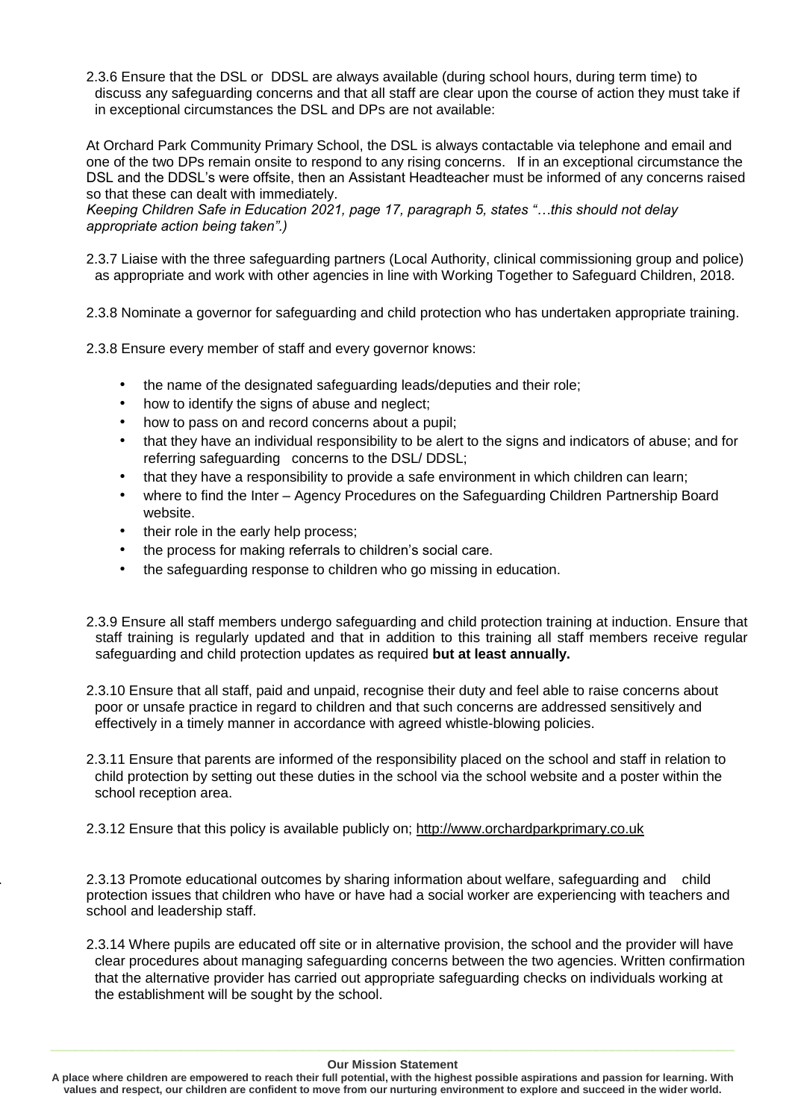2.3.6 Ensure that the DSL or DDSL are always available (during school hours, during term time) to discuss any safeguarding concerns and that all staff are clear upon the course of action they must take if in exceptional circumstances the DSL and DPs are not available:

At Orchard Park Community Primary School, the DSL is always contactable via telephone and email and one of the two DPs remain onsite to respond to any rising concerns. If in an exceptional circumstance the DSL and the DDSL's were offsite, then an Assistant Headteacher must be informed of any concerns raised so that these can dealt with immediately.

*Keeping Children Safe in Education 2021, page 17, paragraph 5, states "…this should not delay appropriate action being taken".)*

- 2.3.7 Liaise with the three safeguarding partners (Local Authority, clinical commissioning group and police) as appropriate and work with other agencies in line with Working Together to Safeguard Children, 2018.
- 2.3.8 Nominate a governor for safeguarding and child protection who has undertaken appropriate training.

2.3.8 Ensure every member of staff and every governor knows:

- the name of the designated safeguarding leads/deputies and their role;
- how to identify the signs of abuse and neglect;
- how to pass on and record concerns about a pupil;
- that they have an individual responsibility to be alert to the signs and indicators of abuse; and for referring safeguarding concerns to the DSL/ DDSL;
- that they have a responsibility to provide a safe environment in which children can learn;
- where to find the Inter Agency Procedures on the Safeguarding Children Partnership Board website.
- their role in the early help process;
- the process for making referrals to children's social care.
- the safeguarding response to children who go missing in education.
- 2.3.9 Ensure all staff members undergo safeguarding and child protection training at induction. Ensure that staff training is regularly updated and that in addition to this training all staff members receive regular safeguarding and child protection updates as required **but at least annually.**
- 2.3.10 Ensure that all staff, paid and unpaid, recognise their duty and feel able to raise concerns about poor or unsafe practice in regard to children and that such concerns are addressed sensitively and effectively in a timely manner in accordance with agreed whistle-blowing policies.
- 2.3.11 Ensure that parents are informed of the responsibility placed on the school and staff in relation to child protection by setting out these duties in the school via the school website and a poster within the school reception area.

2.3.12 Ensure that this policy is available publicly on; [http://www.orchardparkprimary.co.uk](http://www.orchardparkprimary.co.uk/)

2. 2.3.13 Promote educational outcomes by sharing information about welfare, safeguarding and child protection issues that children who have or have had a social worker are experiencing with teachers and school and leadership staff.

2.3.14 Where pupils are educated off site or in alternative provision, the school and the provider will have clear procedures about managing safeguarding concerns between the two agencies. Written confirmation that the alternative provider has carried out appropriate safeguarding checks on individuals working at the establishment will be sought by the school.

#### **Our Mission Statement**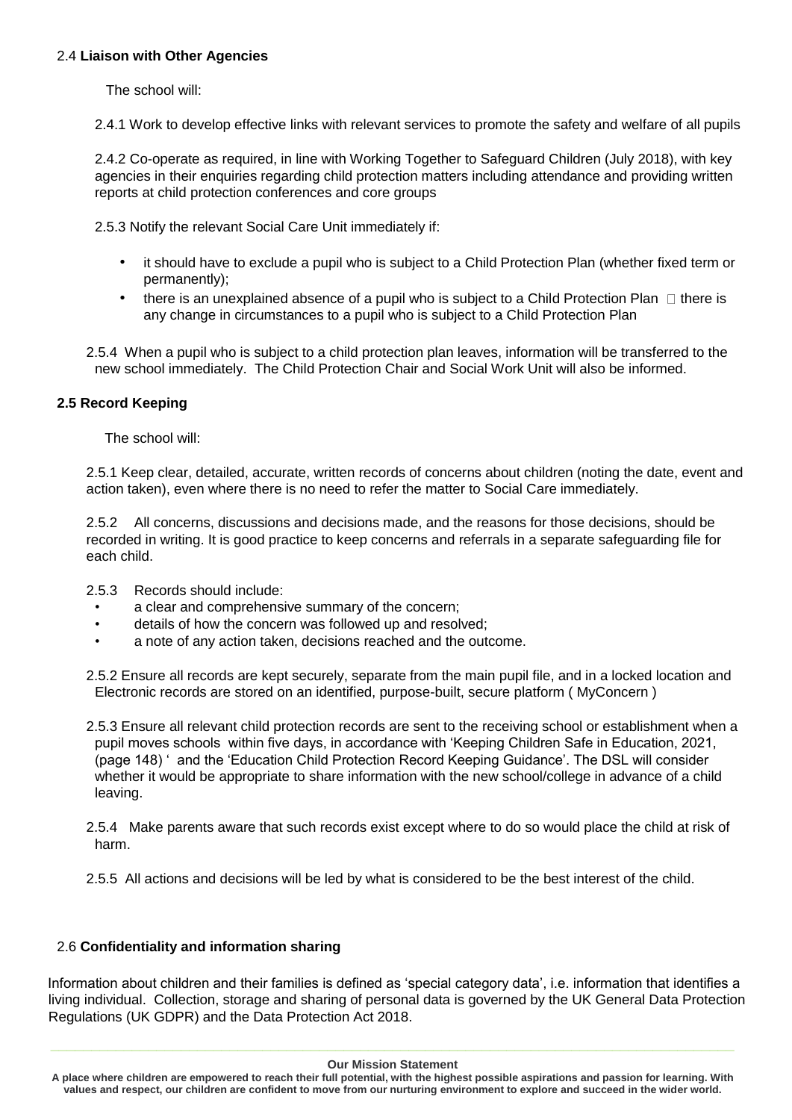## 2.4 **Liaison with Other Agencies**

The school will:

2.4.1 Work to develop effective links with relevant services to promote the safety and welfare of all pupils

2.4.2 Co-operate as required, in line with Working Together to Safeguard Children (July 2018), with key agencies in their enquiries regarding child protection matters including attendance and providing written reports at child protection conferences and core groups

2.5.3 Notify the relevant Social Care Unit immediately if:

- it should have to exclude a pupil who is subject to a Child Protection Plan (whether fixed term or permanently);
- there is an unexplained absence of a pupil who is subject to a Child Protection Plan  $\Box$  there is any change in circumstances to a pupil who is subject to a Child Protection Plan

2.5.4 When a pupil who is subject to a child protection plan leaves, information will be transferred to the new school immediately. The Child Protection Chair and Social Work Unit will also be informed.

## **2.5 Record Keeping**

The school will:

2.5.1 Keep clear, detailed, accurate, written records of concerns about children (noting the date, event and action taken), even where there is no need to refer the matter to Social Care immediately.

2.5.2 All concerns, discussions and decisions made, and the reasons for those decisions, should be recorded in writing. It is good practice to keep concerns and referrals in a separate safeguarding file for each child.

- 2.5.3 Records should include:
	- a clear and comprehensive summary of the concern;
	- details of how the concern was followed up and resolved;
	- a note of any action taken, decisions reached and the outcome.
- 2.5.2 Ensure all records are kept securely, separate from the main pupil file, and in a locked location and Electronic records are stored on an identified, purpose-built, secure platform ( MyConcern )
- 2.5.3 Ensure all relevant child protection records are sent to the receiving school or establishment when a pupil moves schools within five days, in accordance with 'Keeping Children Safe in Education, 2021, (page 148) ' and the 'Education Child Protection Record Keeping Guidance'. The DSL will consider whether it would be appropriate to share information with the new school/college in advance of a child leaving.
- 2.5.4 Make parents aware that such records exist except where to do so would place the child at risk of harm.
- 2.5.5 All actions and decisions will be led by what is considered to be the best interest of the child.

## 2.6 **Confidentiality and information sharing**

Information about children and their families is defined as 'special category data', i.e. information that identifies a living individual. Collection, storage and sharing of personal data is governed by the UK General Data Protection Regulations (UK GDPR) and the Data Protection Act 2018.

**A place where children are empowered to reach their full potential, with the highest possible aspirations and passion for learning. With values and respect, our children are confident to move from our nurturing environment to explore and succeed in the wider world.**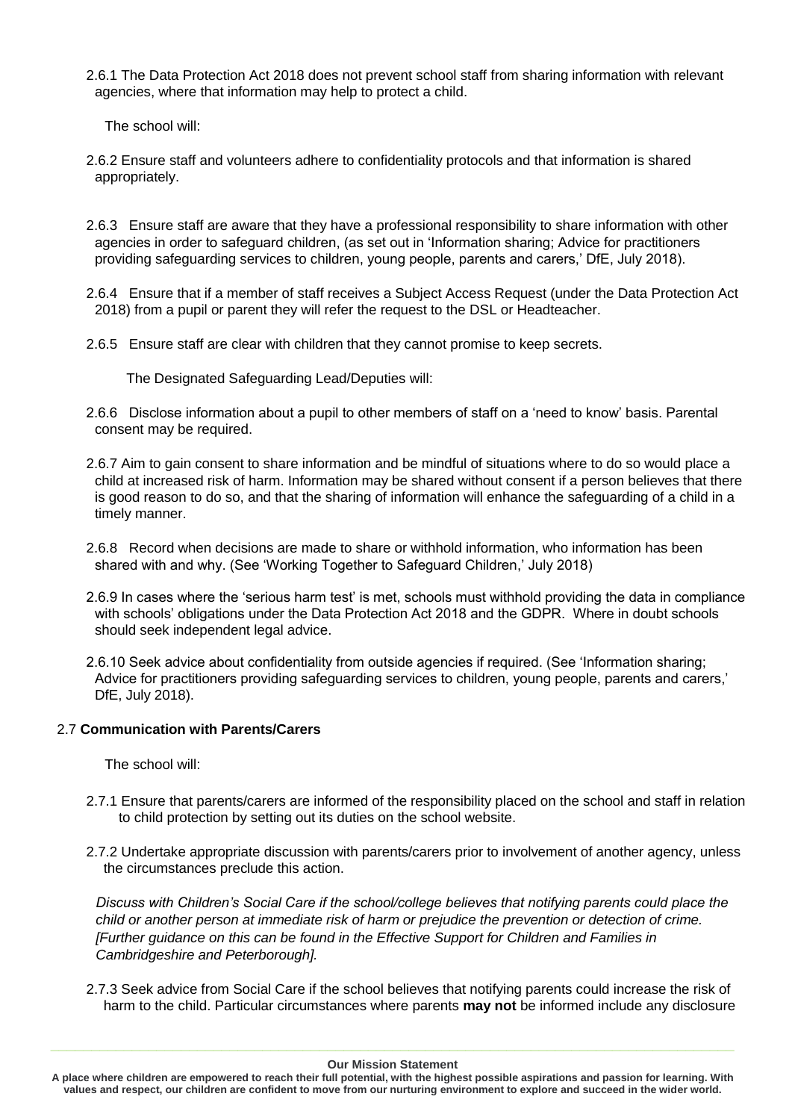2.6.1 The Data Protection Act 2018 does not prevent school staff from sharing information with relevant agencies, where that information may help to protect a child.

The school will:

- 2.6.2 Ensure staff and volunteers adhere to confidentiality protocols and that information is shared appropriately.
- 2.6.3 Ensure staff are aware that they have a professional responsibility to share information with other agencies in order to safeguard children, (as set out in 'Information sharing; Advice for practitioners providing safeguarding services to children, young people, parents and carers,' DfE, July 2018).
- 2.6.4 Ensure that if a member of staff receives a Subject Access Request (under the Data Protection Act 2018) from a pupil or parent they will refer the request to the DSL or Headteacher.
- 2.6.5 Ensure staff are clear with children that they cannot promise to keep secrets.

The Designated Safeguarding Lead/Deputies will:

- 2.6.6 Disclose information about a pupil to other members of staff on a 'need to know' basis. Parental consent may be required.
- 2.6.7 Aim to gain consent to share information and be mindful of situations where to do so would place a child at increased risk of harm. Information may be shared without consent if a person believes that there is good reason to do so, and that the sharing of information will enhance the safeguarding of a child in a timely manner.
- 2.6.8 Record when decisions are made to share or withhold information, who information has been shared with and why. (See 'Working Together to Safeguard Children,' July 2018)
- 2.6.9 In cases where the 'serious harm test' is met, schools must withhold providing the data in compliance with schools' obligations under the Data Protection Act 2018 and the GDPR. Where in doubt schools should seek independent legal advice.
- 2.6.10 Seek advice about confidentiality from outside agencies if required. (See 'Information sharing; Advice for practitioners providing safeguarding services to children, young people, parents and carers,' DfE, July 2018).

## 2.7 **Communication with Parents/Carers**

The school will:

- 2.7.1 Ensure that parents/carers are informed of the responsibility placed on the school and staff in relation to child protection by setting out its duties on the school website.
- 2.7.2 Undertake appropriate discussion with parents/carers prior to involvement of another agency, unless the circumstances preclude this action.

*Discuss with Children's Social Care if the school/college believes that notifying parents could place the child or another person at immediate risk of harm or prejudice the prevention or detection of crime. [Further guidance on this can be found in the Effective Support for Children and Families in Cambridgeshire and Peterborough].* 

2.7.3 Seek advice from Social Care if the school believes that notifying parents could increase the risk of harm to the child. Particular circumstances where parents **may not** be informed include any disclosure

**A place where children are empowered to reach their full potential, with the highest possible aspirations and passion for learning. With values and respect, our children are confident to move from our nurturing environment to explore and succeed in the wider world.**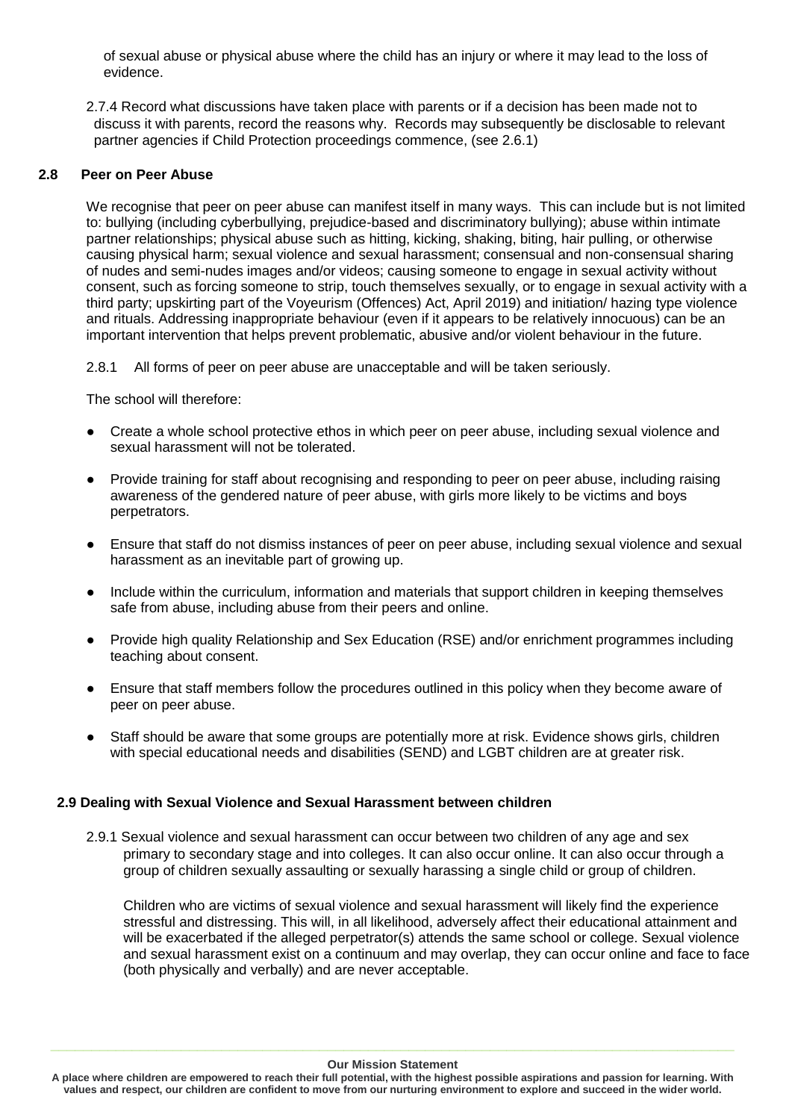of sexual abuse or physical abuse where the child has an injury or where it may lead to the loss of evidence.

2.7.4 Record what discussions have taken place with parents or if a decision has been made not to discuss it with parents, record the reasons why. Records may subsequently be disclosable to relevant partner agencies if Child Protection proceedings commence, (see 2.6.1)

## **2.8 Peer on Peer Abuse**

We recognise that peer on peer abuse can manifest itself in many ways. This can include but is not limited to: bullying (including cyberbullying, prejudice-based and discriminatory bullying); abuse within intimate partner relationships; physical abuse such as hitting, kicking, shaking, biting, hair pulling, or otherwise causing physical harm; sexual violence and sexual harassment; consensual and non-consensual sharing of nudes and semi-nudes images and/or videos; causing someone to engage in sexual activity without consent, such as forcing someone to strip, touch themselves sexually, or to engage in sexual activity with a third party; upskirting part of the Voyeurism (Offences) Act, April 2019) and initiation/ hazing type violence and rituals. Addressing inappropriate behaviour (even if it appears to be relatively innocuous) can be an important intervention that helps prevent problematic, abusive and/or violent behaviour in the future.

2.8.1 All forms of peer on peer abuse are unacceptable and will be taken seriously.

The school will therefore:

- Create a whole school protective ethos in which peer on peer abuse, including sexual violence and sexual harassment will not be tolerated.
- Provide training for staff about recognising and responding to peer on peer abuse, including raising awareness of the gendered nature of peer abuse, with girls more likely to be victims and boys perpetrators.
- Ensure that staff do not dismiss instances of peer on peer abuse, including sexual violence and sexual harassment as an inevitable part of growing up.
- Include within the curriculum, information and materials that support children in keeping themselves safe from abuse, including abuse from their peers and online.
- Provide high quality Relationship and Sex Education (RSE) and/or enrichment programmes including teaching about consent.
- Ensure that staff members follow the procedures outlined in this policy when they become aware of peer on peer abuse.
- Staff should be aware that some groups are potentially more at risk. Evidence shows girls, children with special educational needs and disabilities (SEND) and LGBT children are at greater risk.

## **2.9 Dealing with Sexual Violence and Sexual Harassment between children**

2.9.1 Sexual violence and sexual harassment can occur between two children of any age and sex primary to secondary stage and into colleges. It can also occur online. It can also occur through a group of children sexually assaulting or sexually harassing a single child or group of children.

Children who are victims of sexual violence and sexual harassment will likely find the experience stressful and distressing. This will, in all likelihood, adversely affect their educational attainment and will be exacerbated if the alleged perpetrator(s) attends the same school or college. Sexual violence and sexual harassment exist on a continuum and may overlap, they can occur online and face to face (both physically and verbally) and are never acceptable.

**A place where children are empowered to reach their full potential, with the highest possible aspirations and passion for learning. With values and respect, our children are confident to move from our nurturing environment to explore and succeed in the wider world.**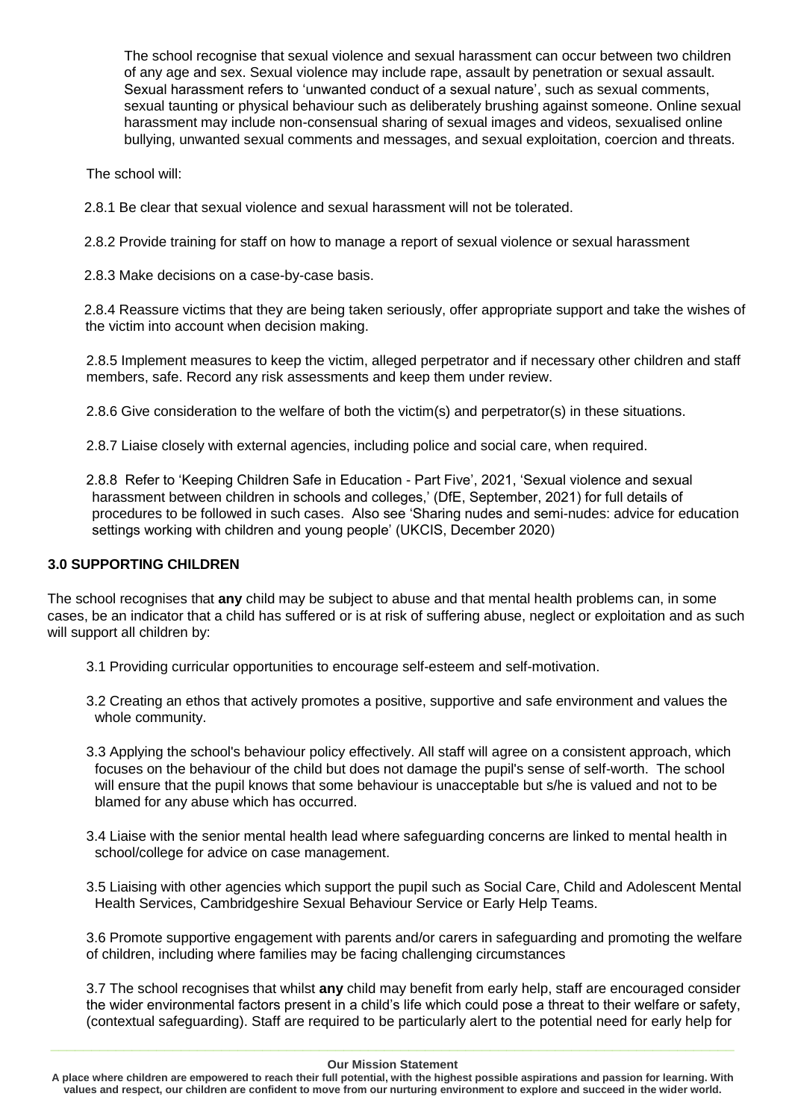The school recognise that sexual violence and sexual harassment can occur between two children of any age and sex. Sexual violence may include rape, assault by penetration or sexual assault. Sexual harassment refers to 'unwanted conduct of a sexual nature', such as sexual comments, sexual taunting or physical behaviour such as deliberately brushing against someone. Online sexual harassment may include non-consensual sharing of sexual images and videos, sexualised online bullying, unwanted sexual comments and messages, and sexual exploitation, coercion and threats.

The school will:

2.8.1 Be clear that sexual violence and sexual harassment will not be tolerated.

2.8.2 Provide training for staff on how to manage a report of sexual violence or sexual harassment

2.8.3 Make decisions on a case-by-case basis.

2.8.4 Reassure victims that they are being taken seriously, offer appropriate support and take the wishes of the victim into account when decision making.

2.8.5 Implement measures to keep the victim, alleged perpetrator and if necessary other children and staff members, safe. Record any risk assessments and keep them under review.

2.8.6 Give consideration to the welfare of both the victim(s) and perpetrator(s) in these situations.

2.8.7 Liaise closely with external agencies, including police and social care, when required.

2.8.8 Refer to 'Keeping Children Safe in Education - Part Five', 2021, 'Sexual violence and sexual harassment between children in schools and colleges,' (DfE, September, 2021) for full details of procedures to be followed in such cases. Also see 'Sharing nudes and semi-nudes: advice for education settings working with children and young people' (UKCIS, December 2020)

## **3.0 SUPPORTING CHILDREN**

The school recognises that **any** child may be subject to abuse and that mental health problems can, in some cases, be an indicator that a child has suffered or is at risk of suffering abuse, neglect or exploitation and as such will support all children by:

- 3.1 Providing curricular opportunities to encourage self-esteem and self-motivation.
- 3.2 Creating an ethos that actively promotes a positive, supportive and safe environment and values the whole community.
- 3.3 Applying the school's behaviour policy effectively. All staff will agree on a consistent approach, which focuses on the behaviour of the child but does not damage the pupil's sense of self-worth. The school will ensure that the pupil knows that some behaviour is unacceptable but s/he is valued and not to be blamed for any abuse which has occurred.
- 3.4 Liaise with the senior mental health lead where safeguarding concerns are linked to mental health in school/college for advice on case management.
- 3.5 Liaising with other agencies which support the pupil such as Social Care, Child and Adolescent Mental Health Services, Cambridgeshire Sexual Behaviour Service or Early Help Teams.

3.6 Promote supportive engagement with parents and/or carers in safeguarding and promoting the welfare of children, including where families may be facing challenging circumstances

3.7 The school recognises that whilst **any** child may benefit from early help, staff are encouraged consider the wider environmental factors present in a child's life which could pose a threat to their welfare or safety, (contextual safeguarding). Staff are required to be particularly alert to the potential need for early help for

**A place where children are empowered to reach their full potential, with the highest possible aspirations and passion for learning. With values and respect, our children are confident to move from our nurturing environment to explore and succeed in the wider world.**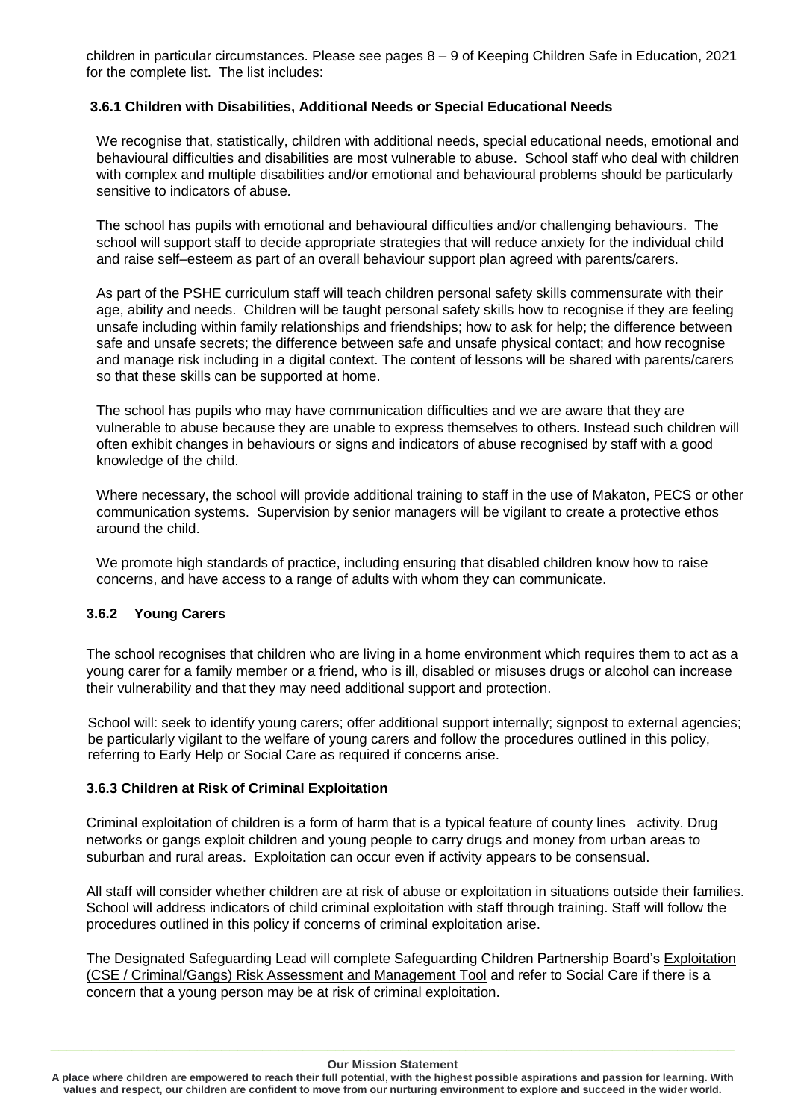children in particular circumstances. Please see pages 8 – 9 of Keeping Children Safe in Education, 2021 for the complete list. The list includes:

## **3.6.1 Children with Disabilities, Additional Needs or Special Educational Needs**

We recognise that, statistically, children with additional needs, special educational needs, emotional and behavioural difficulties and disabilities are most vulnerable to abuse. School staff who deal with children with complex and multiple disabilities and/or emotional and behavioural problems should be particularly sensitive to indicators of abuse*.* 

The school has pupils with emotional and behavioural difficulties and/or challenging behaviours. The school will support staff to decide appropriate strategies that will reduce anxiety for the individual child and raise self–esteem as part of an overall behaviour support plan agreed with parents/carers.

As part of the PSHE curriculum staff will teach children personal safety skills commensurate with their age, ability and needs. Children will be taught personal safety skills how to recognise if they are feeling unsafe including within family relationships and friendships; how to ask for help; the difference between safe and unsafe secrets; the difference between safe and unsafe physical contact; and how recognise and manage risk including in a digital context. The content of lessons will be shared with parents/carers so that these skills can be supported at home.

The school has pupils who may have communication difficulties and we are aware that they are vulnerable to abuse because they are unable to express themselves to others. Instead such children will often exhibit changes in behaviours or signs and indicators of abuse recognised by staff with a good knowledge of the child.

Where necessary, the school will provide additional training to staff in the use of Makaton, PECS or other communication systems. Supervision by senior managers will be vigilant to create a protective ethos around the child.

We promote high standards of practice, including ensuring that disabled children know how to raise concerns, and have access to a range of adults with whom they can communicate.

## **3.6.2 Young Carers**

The school recognises that children who are living in a home environment which requires them to act as a young carer for a family member or a friend, who is ill, disabled or misuses drugs or alcohol can increase their vulnerability and that they may need additional support and protection.

School will: seek to identify young carers; offer additional support internally; signpost to external agencies; be particularly vigilant to the welfare of young carers and follow the procedures outlined in this policy, referring to Early Help or Social Care as required if concerns arise.

## **3.6.3 Children at Risk of Criminal Exploitation**

Criminal exploitation of children is a form of harm that is a typical feature of county lines activity. Drug networks or gangs exploit children and young people to carry drugs and money from urban areas to suburban and rural areas. Exploitation can occur even if activity appears to be consensual.

All staff will consider whether children are at risk of abuse or exploitation in situations outside their families. School will address indicators of child criminal exploitation with staff through training. Staff will follow the procedures outlined in this policy if concerns of criminal exploitation arise.

The Designated Safeguarding Lead will complete Safeguarding Children Partnership Board's [Exploitation](http://www.safeguardingcambspeterborough.org.uk/wp-content/uploads/2018/05/Exploitation-CSECCE-Risk-Assessment-Tool.docx)  [\(CSE / Criminal/Gangs\) Risk Assessment and Management Tool](http://www.safeguardingcambspeterborough.org.uk/wp-content/uploads/2018/05/Exploitation-CSECCE-Risk-Assessment-Tool.docx) and refer to Social Care if there is a concern that a young person may be at risk of criminal exploitation.

**A place where children are empowered to reach their full potential, with the highest possible aspirations and passion for learning. With values and respect, our children are confident to move from our nurturing environment to explore and succeed in the wider world.**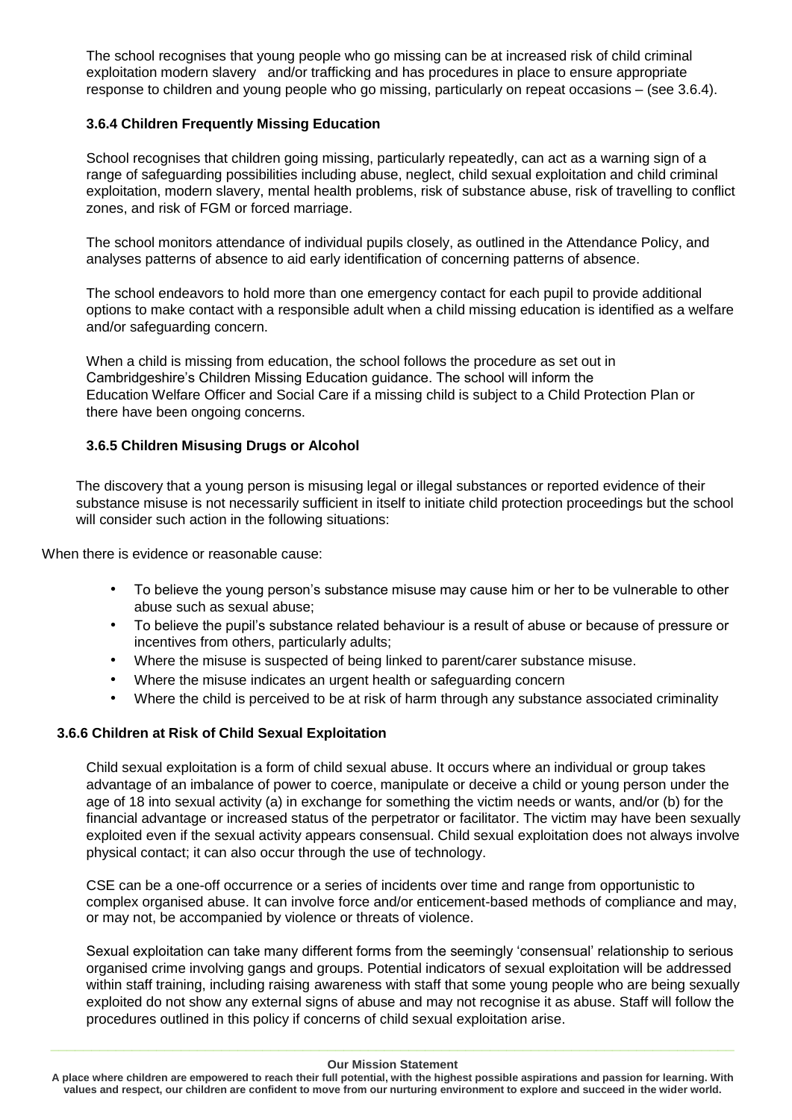The school recognises that young people who go missing can be at increased risk of child criminal exploitation modern slavery and/or trafficking and has procedures in place to ensure appropriate response to children and young people who go missing, particularly on repeat occasions – (see 3.6.4).

## **3.6.4 Children Frequently Missing Education**

School recognises that children going missing, particularly repeatedly, can act as a warning sign of a range of safeguarding possibilities including abuse, neglect, child sexual exploitation and child criminal exploitation, modern slavery, mental health problems, risk of substance abuse, risk of travelling to conflict zones, and risk of FGM or forced marriage.

The school monitors attendance of individual pupils closely, as outlined in the Attendance Policy, and analyses patterns of absence to aid early identification of concerning patterns of absence.

The school endeavors to hold more than one emergency contact for each pupil to provide additional options to make contact with a responsible adult when a child missing education is identified as a welfare and/or safeguarding concern.

When a child is missing from education, the school follows the procedure as set out in Cambridgeshire's Children Missing Education guidance. The school will inform the Education Welfare Officer and Social Care if a missing child is subject to a Child Protection Plan or there have been ongoing concerns.

## **3.6.5 Children Misusing Drugs or Alcohol**

The discovery that a young person is misusing legal or illegal substances or reported evidence of their substance misuse is not necessarily sufficient in itself to initiate child protection proceedings but the school will consider such action in the following situations:

When there is evidence or reasonable cause:

- To believe the young person's substance misuse may cause him or her to be vulnerable to other abuse such as sexual abuse;
- To believe the pupil's substance related behaviour is a result of abuse or because of pressure or incentives from others, particularly adults;
- Where the misuse is suspected of being linked to parent/carer substance misuse.
- Where the misuse indicates an urgent health or safeguarding concern
- Where the child is perceived to be at risk of harm through any substance associated criminality

## **3.6.6 Children at Risk of Child Sexual Exploitation**

Child sexual exploitation is a form of child sexual abuse. It occurs where an individual or group takes advantage of an imbalance of power to coerce, manipulate or deceive a child or young person under the age of 18 into sexual activity (a) in exchange for something the victim needs or wants, and/or (b) for the financial advantage or increased status of the perpetrator or facilitator. The victim may have been sexually exploited even if the sexual activity appears consensual. Child sexual exploitation does not always involve physical contact; it can also occur through the use of technology.

CSE can be a one-off occurrence or a series of incidents over time and range from opportunistic to complex organised abuse. It can involve force and/or enticement-based methods of compliance and may, or may not, be accompanied by violence or threats of violence.

Sexual exploitation can take many different forms from the seemingly 'consensual' relationship to serious organised crime involving gangs and groups. Potential indicators of sexual exploitation will be addressed within staff training, including raising awareness with staff that some young people who are being sexually exploited do not show any external signs of abuse and may not recognise it as abuse. Staff will follow the procedures outlined in this policy if concerns of child sexual exploitation arise.

#### **Our Mission Statement**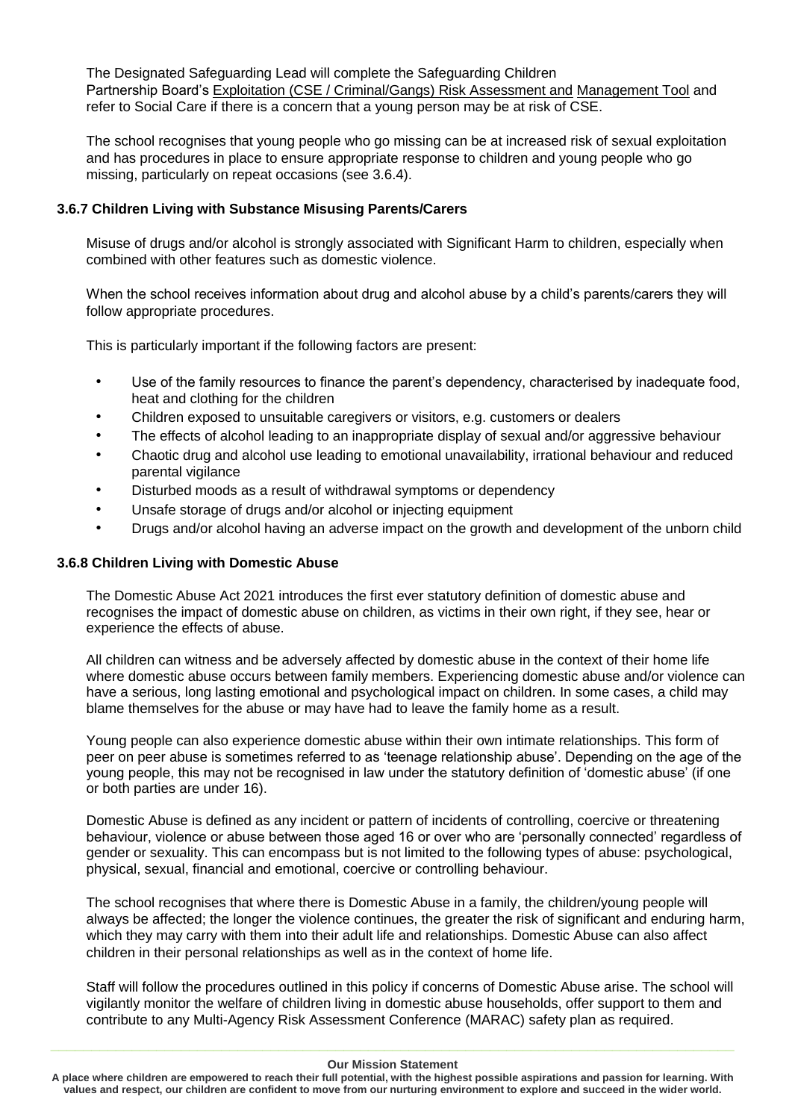The Designated Safeguarding Lead will complete the Safeguarding Children Partnership Board's [Exploitation \(CSE / Criminal/Gangs\) Risk Assessment and](http://www.safeguardingcambspeterborough.org.uk/wp-content/uploads/2018/05/Exploitation-CSECCE-Risk-Assessment-Tool.docx) [Management Tool](http://www.safeguardingcambspeterborough.org.uk/wp-content/uploads/2018/05/Exploitation-CSECCE-Risk-Assessment-Tool.docx) and refer to Social Care if there is a concern that a young person may be at risk of CSE.

The school recognises that young people who go missing can be at increased risk of sexual exploitation and has procedures in place to ensure appropriate response to children and young people who go missing, particularly on repeat occasions (see 3.6.4).

## **3.6.7 Children Living with Substance Misusing Parents/Carers**

Misuse of drugs and/or alcohol is strongly associated with Significant Harm to children, especially when combined with other features such as domestic violence.

When the school receives information about drug and alcohol abuse by a child's parents/carers they will follow appropriate procedures.

This is particularly important if the following factors are present:

- Use of the family resources to finance the parent's dependency, characterised by inadequate food, heat and clothing for the children
- Children exposed to unsuitable caregivers or visitors, e.g. customers or dealers
- The effects of alcohol leading to an inappropriate display of sexual and/or aggressive behaviour
- Chaotic drug and alcohol use leading to emotional unavailability, irrational behaviour and reduced parental vigilance
- Disturbed moods as a result of withdrawal symptoms or dependency
- Unsafe storage of drugs and/or alcohol or injecting equipment
- Drugs and/or alcohol having an adverse impact on the growth and development of the unborn child

## **3.6.8 Children Living with Domestic Abuse**

The Domestic Abuse Act 2021 introduces the first ever statutory definition of domestic abuse and recognises the impact of domestic abuse on children, as victims in their own right, if they see, hear or experience the effects of abuse.

All children can witness and be adversely affected by domestic abuse in the context of their home life where domestic abuse occurs between family members. Experiencing domestic abuse and/or violence can have a serious, long lasting emotional and psychological impact on children. In some cases, a child may blame themselves for the abuse or may have had to leave the family home as a result.

Young people can also experience domestic abuse within their own intimate relationships. This form of peer on peer abuse is sometimes referred to as 'teenage relationship abuse'. Depending on the age of the young people, this may not be recognised in law under the statutory definition of 'domestic abuse' (if one or both parties are under 16).

Domestic Abuse is defined as any incident or pattern of incidents of controlling, coercive or threatening behaviour, violence or abuse between those aged 16 or over who are 'personally connected' regardless of gender or sexuality. This can encompass but is not limited to the following types of abuse: psychological, physical, sexual, financial and emotional, coercive or controlling behaviour.

The school recognises that where there is Domestic Abuse in a family, the children/young people will always be affected; the longer the violence continues, the greater the risk of significant and enduring harm, which they may carry with them into their adult life and relationships. Domestic Abuse can also affect children in their personal relationships as well as in the context of home life.

Staff will follow the procedures outlined in this policy if concerns of Domestic Abuse arise. The school will vigilantly monitor the welfare of children living in domestic abuse households, offer support to them and contribute to any Multi-Agency Risk Assessment Conference (MARAC) safety plan as required.

**A place where children are empowered to reach their full potential, with the highest possible aspirations and passion for learning. With values and respect, our children are confident to move from our nurturing environment to explore and succeed in the wider world.**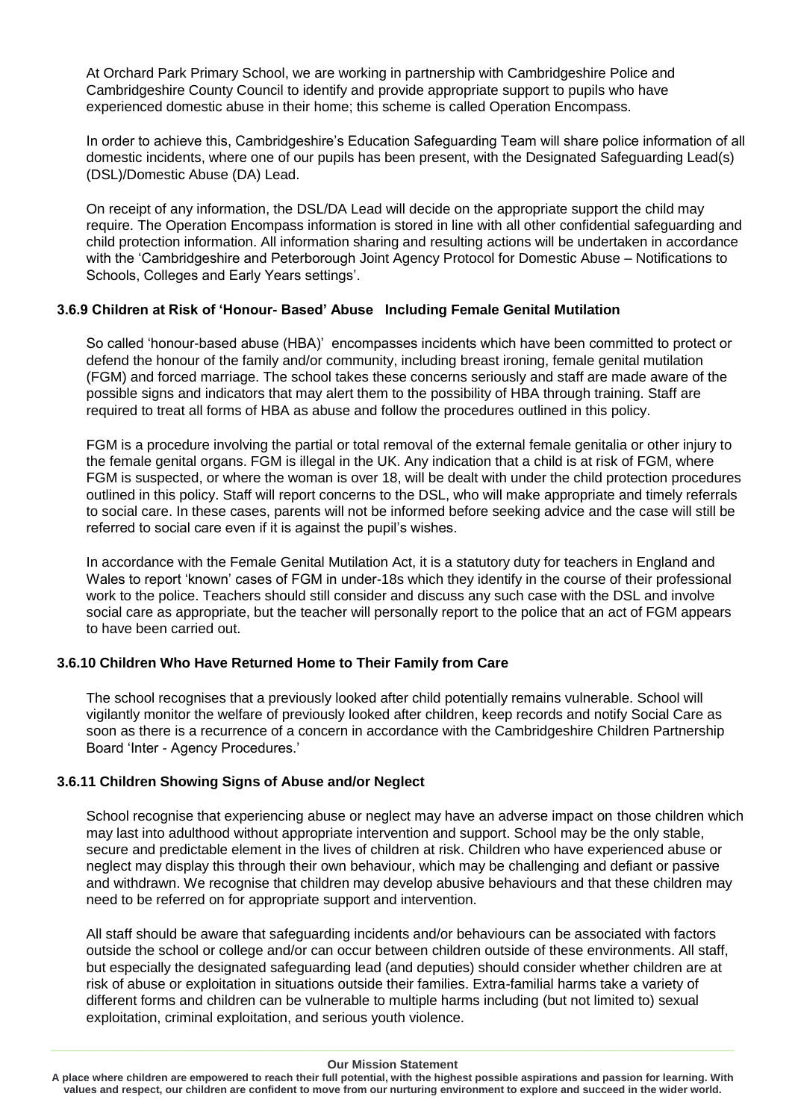At Orchard Park Primary School, we are working in partnership with Cambridgeshire Police and Cambridgeshire County Council to identify and provide appropriate support to pupils who have experienced domestic abuse in their home; this scheme is called Operation Encompass.

In order to achieve this, Cambridgeshire's Education Safeguarding Team will share police information of all domestic incidents, where one of our pupils has been present, with the Designated Safeguarding Lead(s) (DSL)/Domestic Abuse (DA) Lead.

On receipt of any information, the DSL/DA Lead will decide on the appropriate support the child may require. The Operation Encompass information is stored in line with all other confidential safeguarding and child protection information. All information sharing and resulting actions will be undertaken in accordance with the 'Cambridgeshire and Peterborough Joint Agency Protocol for Domestic Abuse – Notifications to Schools, Colleges and Early Years settings'.

## **3.6.9 Children at Risk of 'Honour- Based' Abuse Including Female Genital Mutilation**

So called 'honour-based abuse (HBA)' encompasses incidents which have been committed to protect or defend the honour of the family and/or community, including breast ironing, female genital mutilation (FGM) and forced marriage. The school takes these concerns seriously and staff are made aware of the possible signs and indicators that may alert them to the possibility of HBA through training. Staff are required to treat all forms of HBA as abuse and follow the procedures outlined in this policy.

FGM is a procedure involving the partial or total removal of the external female genitalia or other injury to the female genital organs. FGM is illegal in the UK. Any indication that a child is at risk of FGM, where FGM is suspected, or where the woman is over 18, will be dealt with under the child protection procedures outlined in this policy. Staff will report concerns to the DSL, who will make appropriate and timely referrals to social care. In these cases, parents will not be informed before seeking advice and the case will still be referred to social care even if it is against the pupil's wishes.

In accordance with the Female Genital Mutilation Act, it is a statutory duty for teachers in England and Wales to report 'known' cases of FGM in under-18s which they identify in the course of their professional work to the police. Teachers should still consider and discuss any such case with the DSL and involve social care as appropriate, but the teacher will personally report to the police that an act of FGM appears to have been carried out.

## **3.6.10 Children Who Have Returned Home to Their Family from Care**

The school recognises that a previously looked after child potentially remains vulnerable. School will vigilantly monitor the welfare of previously looked after children, keep records and notify Social Care as soon as there is a recurrence of a concern in accordance with the Cambridgeshire Children Partnership Board 'Inter - Agency Procedures.'

## **3.6.11 Children Showing Signs of Abuse and/or Neglect**

School recognise that experiencing abuse or neglect may have an adverse impact on those children which may last into adulthood without appropriate intervention and support. School may be the only stable, secure and predictable element in the lives of children at risk. Children who have experienced abuse or neglect may display this through their own behaviour, which may be challenging and defiant or passive and withdrawn. We recognise that children may develop abusive behaviours and that these children may need to be referred on for appropriate support and intervention.

All staff should be aware that safeguarding incidents and/or behaviours can be associated with factors outside the school or college and/or can occur between children outside of these environments. All staff, but especially the designated safeguarding lead (and deputies) should consider whether children are at risk of abuse or exploitation in situations outside their families. Extra-familial harms take a variety of different forms and children can be vulnerable to multiple harms including (but not limited to) sexual exploitation, criminal exploitation, and serious youth violence.

#### **Our Mission Statement**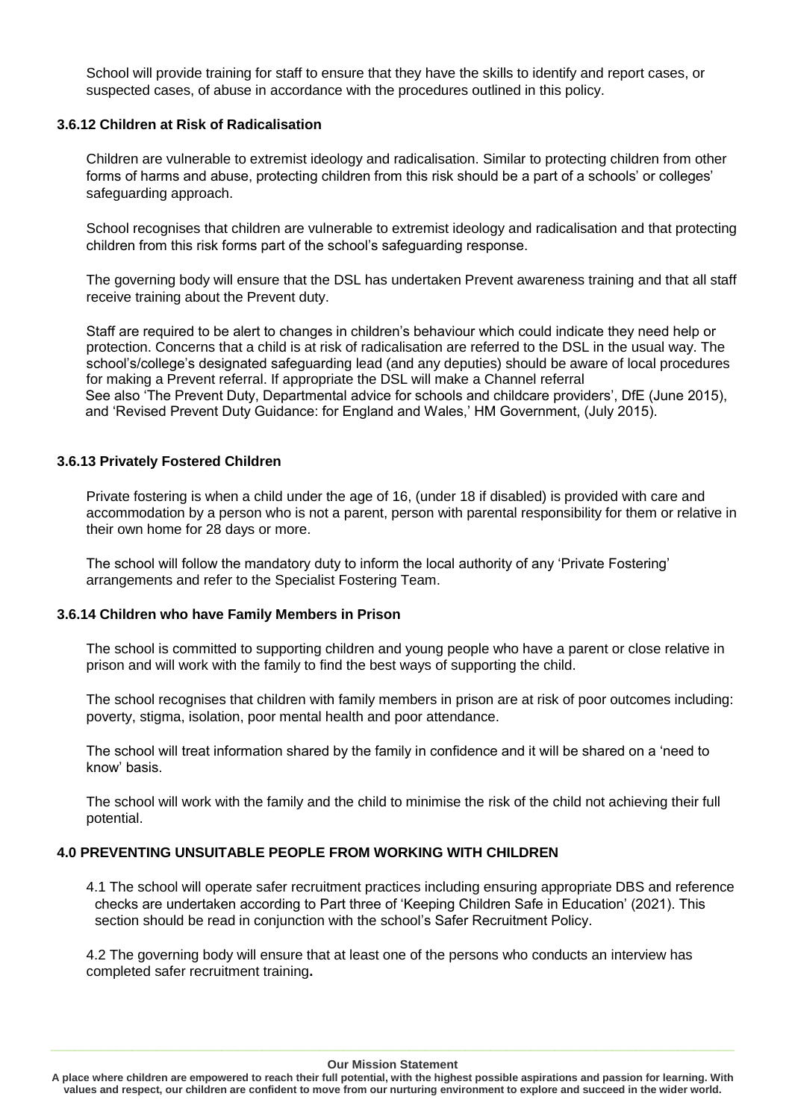School will provide training for staff to ensure that they have the skills to identify and report cases, or suspected cases, of abuse in accordance with the procedures outlined in this policy.

## **3.6.12 Children at Risk of Radicalisation**

Children are vulnerable to extremist ideology and radicalisation. Similar to protecting children from other forms of harms and abuse, protecting children from this risk should be a part of a schools' or colleges' safeguarding approach.

School recognises that children are vulnerable to extremist ideology and radicalisation and that protecting children from this risk forms part of the school's safeguarding response.

The governing body will ensure that the DSL has undertaken Prevent awareness training and that all staff receive training about the Prevent duty.

Staff are required to be alert to changes in children's behaviour which could indicate they need help or protection. Concerns that a child is at risk of radicalisation are referred to the DSL in the usual way. The school's/college's designated safeguarding lead (and any deputies) should be aware of local procedures for making a Prevent referral. If appropriate the DSL will make a Channel referral See also 'The Prevent Duty, Departmental advice for schools and childcare providers', DfE (June 2015), and 'Revised Prevent Duty Guidance: for England and Wales,' HM Government, (July 2015).

## **3.6.13 Privately Fostered Children**

Private fostering is when a child under the age of 16, (under 18 if disabled) is provided with care and accommodation by a person who is not a parent, person with parental responsibility for them or relative in their own home for 28 days or more.

The school will follow the mandatory duty to inform the local authority of any 'Private Fostering' arrangements and refer to the Specialist Fostering Team.

### **3.6.14 Children who have Family Members in Prison**

The school is committed to supporting children and young people who have a parent or close relative in prison and will work with the family to find the best ways of supporting the child.

The school recognises that children with family members in prison are at risk of poor outcomes including: poverty, stigma, isolation, poor mental health and poor attendance.

The school will treat information shared by the family in confidence and it will be shared on a 'need to know' basis.

The school will work with the family and the child to minimise the risk of the child not achieving their full potential.

## **4.0 PREVENTING UNSUITABLE PEOPLE FROM WORKING WITH CHILDREN**

4.1 The school will operate safer recruitment practices including ensuring appropriate DBS and reference checks are undertaken according to Part three of 'Keeping Children Safe in Education' (2021). This section should be read in conjunction with the school's Safer Recruitment Policy.

4.2 The governing body will ensure that at least one of the persons who conducts an interview has completed safer recruitment training**.** 

#### **Our Mission Statement**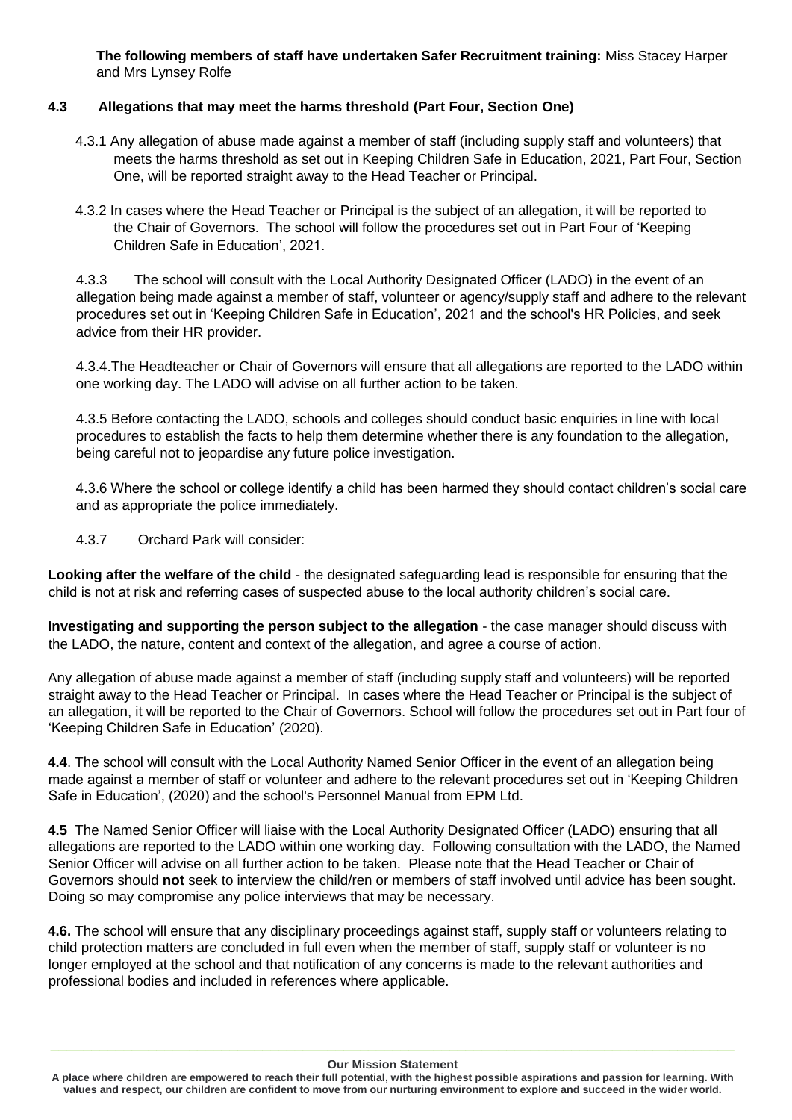**The following members of staff have undertaken Safer Recruitment training:** Miss Stacey Harper and Mrs Lynsey Rolfe

## **4.3 Allegations that may meet the harms threshold (Part Four, Section One)**

- 4.3.1 Any allegation of abuse made against a member of staff (including supply staff and volunteers) that meets the harms threshold as set out in Keeping Children Safe in Education, 2021, Part Four, Section One, will be reported straight away to the Head Teacher or Principal.
- 4.3.2 In cases where the Head Teacher or Principal is the subject of an allegation, it will be reported to the Chair of Governors. The school will follow the procedures set out in Part Four of 'Keeping Children Safe in Education', 2021.

4.3.3 The school will consult with the Local Authority Designated Officer (LADO) in the event of an allegation being made against a member of staff, volunteer or agency/supply staff and adhere to the relevant procedures set out in 'Keeping Children Safe in Education', 2021 and the school's HR Policies, and seek advice from their HR provider.

4.3.4.The Headteacher or Chair of Governors will ensure that all allegations are reported to the LADO within one working day. The LADO will advise on all further action to be taken.

4.3.5 Before contacting the LADO, schools and colleges should conduct basic enquiries in line with local procedures to establish the facts to help them determine whether there is any foundation to the allegation, being careful not to jeopardise any future police investigation.

4.3.6 Where the school or college identify a child has been harmed they should contact children's social care and as appropriate the police immediately.

4.3.7 Orchard Park will consider:

**Looking after the welfare of the child** - the designated safeguarding lead is responsible for ensuring that the child is not at risk and referring cases of suspected abuse to the local authority children's social care.

**Investigating and supporting the person subject to the allegation** - the case manager should discuss with the LADO, the nature, content and context of the allegation, and agree a course of action.

Any allegation of abuse made against a member of staff (including supply staff and volunteers) will be reported straight away to the Head Teacher or Principal. In cases where the Head Teacher or Principal is the subject of an allegation, it will be reported to the Chair of Governors. School will follow the procedures set out in Part four of 'Keeping Children Safe in Education' (2020).

**4.4**. The school will consult with the Local Authority Named Senior Officer in the event of an allegation being made against a member of staff or volunteer and adhere to the relevant procedures set out in 'Keeping Children Safe in Education', (2020) and the school's Personnel Manual from EPM Ltd.

**4.5** The Named Senior Officer will liaise with the Local Authority Designated Officer (LADO) ensuring that all allegations are reported to the LADO within one working day. Following consultation with the LADO, the Named Senior Officer will advise on all further action to be taken. Please note that the Head Teacher or Chair of Governors should **not** seek to interview the child/ren or members of staff involved until advice has been sought. Doing so may compromise any police interviews that may be necessary.

**4.6.** The school will ensure that any disciplinary proceedings against staff, supply staff or volunteers relating to child protection matters are concluded in full even when the member of staff, supply staff or volunteer is no longer employed at the school and that notification of any concerns is made to the relevant authorities and professional bodies and included in references where applicable.

**A place where children are empowered to reach their full potential, with the highest possible aspirations and passion for learning. With values and respect, our children are confident to move from our nurturing environment to explore and succeed in the wider world.**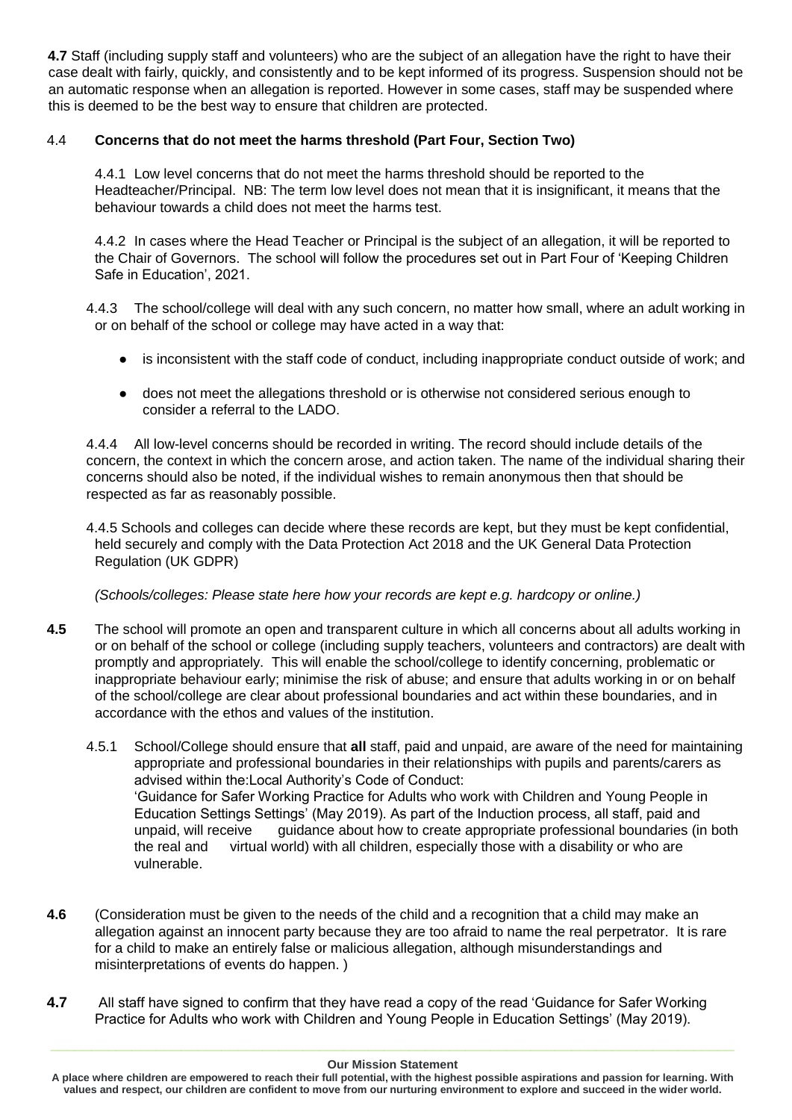**4.7** Staff (including supply staff and volunteers) who are the subject of an allegation have the right to have their case dealt with fairly, quickly, and consistently and to be kept informed of its progress. Suspension should not be an automatic response when an allegation is reported. However in some cases, staff may be suspended where this is deemed to be the best way to ensure that children are protected.

## 4.4 **Concerns that do not meet the harms threshold (Part Four, Section Two)**

4.4.1 Low level concerns that do not meet the harms threshold should be reported to the Headteacher/Principal. NB: The term low level does not mean that it is insignificant, it means that the behaviour towards a child does not meet the harms test.

4.4.2 In cases where the Head Teacher or Principal is the subject of an allegation, it will be reported to the Chair of Governors. The school will follow the procedures set out in Part Four of 'Keeping Children Safe in Education', 2021.

4.4.3 The school/college will deal with any such concern, no matter how small, where an adult working in or on behalf of the school or college may have acted in a way that:

- is inconsistent with the staff code of conduct, including inappropriate conduct outside of work; and
- does not meet the allegations threshold or is otherwise not considered serious enough to consider a referral to the LADO.

4.4.4 All low-level concerns should be recorded in writing. The record should include details of the concern, the context in which the concern arose, and action taken. The name of the individual sharing their concerns should also be noted, if the individual wishes to remain anonymous then that should be respected as far as reasonably possible.

4.4.5 Schools and colleges can decide where these records are kept, but they must be kept confidential, held securely and comply with the Data Protection Act 2018 and the UK General Data Protection Regulation (UK GDPR)

## *(Schools/colleges: Please state here how your records are kept e.g. hardcopy or online.)*

- **4.5** The school will promote an open and transparent culture in which all concerns about all adults working in or on behalf of the school or college (including supply teachers, volunteers and contractors) are dealt with promptly and appropriately. This will enable the school/college to identify concerning, problematic or inappropriate behaviour early; minimise the risk of abuse; and ensure that adults working in or on behalf of the school/college are clear about professional boundaries and act within these boundaries, and in accordance with the ethos and values of the institution.
	- 4.5.1 School/College should ensure that **all** staff, paid and unpaid, are aware of the need for maintaining appropriate and professional boundaries in their relationships with pupils and parents/carers as advised within the:Local Authority's Code of Conduct: 'Guidance for Safer Working Practice for Adults who work with Children and Young People in Education Settings Settings' (May 2019). As part of the Induction process, all staff, paid and unpaid, will receive guidance about how to create appropriate professional boundaries (in both the real and virtual world) with all children, especially those with a disability or who are vulnerable.
- **4.6** (Consideration must be given to the needs of the child and a recognition that a child may make an allegation against an innocent party because they are too afraid to name the real perpetrator. It is rare for a child to make an entirely false or malicious allegation, although misunderstandings and misinterpretations of events do happen. )
- **4.7** All staff have signed to confirm that they have read a copy of the read 'Guidance for Safer Working Practice for Adults who work with Children and Young People in Education Settings' (May 2019).

**A place where children are empowered to reach their full potential, with the highest possible aspirations and passion for learning. With values and respect, our children are confident to move from our nurturing environment to explore and succeed in the wider world.**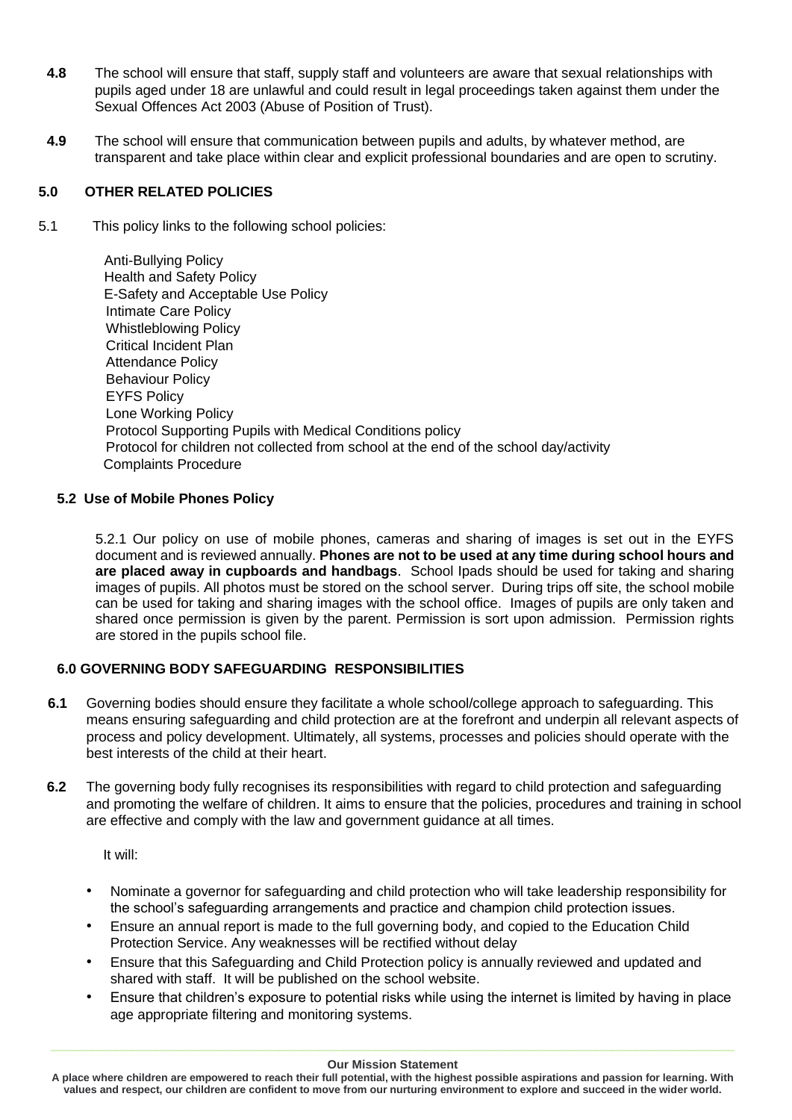- **4.8** The school will ensure that staff, supply staff and volunteers are aware that sexual relationships with pupils aged under 18 are unlawful and could result in legal proceedings taken against them under the Sexual Offences Act 2003 (Abuse of Position of Trust).
- **4.9** The school will ensure that communication between pupils and adults, by whatever method, are transparent and take place within clear and explicit professional boundaries and are open to scrutiny.

## **5.0 OTHER RELATED POLICIES**

5.1 This policy links to the following school policies:

 Anti-Bullying Policy Health and Safety Policy E-Safety and Acceptable Use Policy Intimate Care Policy Whistleblowing Policy Critical Incident Plan Attendance Policy Behaviour Policy EYFS Policy Lone Working Policy Protocol Supporting Pupils with Medical Conditions policy Protocol for children not collected from school at the end of the school day/activity Complaints Procedure

## **5.2 Use of Mobile Phones Policy**

5.2.1 Our policy on use of mobile phones, cameras and sharing of images is set out in the EYFS document and is reviewed annually. **Phones are not to be used at any time during school hours and are placed away in cupboards and handbags**. School Ipads should be used for taking and sharing images of pupils. All photos must be stored on the school server. During trips off site, the school mobile can be used for taking and sharing images with the school office. Images of pupils are only taken and shared once permission is given by the parent. Permission is sort upon admission. Permission rights are stored in the pupils school file.

## **6.0 GOVERNING BODY SAFEGUARDING RESPONSIBILITIES**

- **6.1** Governing bodies should ensure they facilitate a whole school/college approach to safeguarding. This means ensuring safeguarding and child protection are at the forefront and underpin all relevant aspects of process and policy development. Ultimately, all systems, processes and policies should operate with the best interests of the child at their heart.
- **6.2** The governing body fully recognises its responsibilities with regard to child protection and safeguarding and promoting the welfare of children. It aims to ensure that the policies, procedures and training in school are effective and comply with the law and government guidance at all times.

It will:

- Nominate a governor for safeguarding and child protection who will take leadership responsibility for the school's safeguarding arrangements and practice and champion child protection issues.
- Ensure an annual report is made to the full governing body, and copied to the Education Child Protection Service. Any weaknesses will be rectified without delay
- Ensure that this Safeguarding and Child Protection policy is annually reviewed and updated and shared with staff. It will be published on the school website.
- Ensure that children's exposure to potential risks while using the internet is limited by having in place age appropriate filtering and monitoring systems.

**A place where children are empowered to reach their full potential, with the highest possible aspirations and passion for learning. With values and respect, our children are confident to move from our nurturing environment to explore and succeed in the wider world.**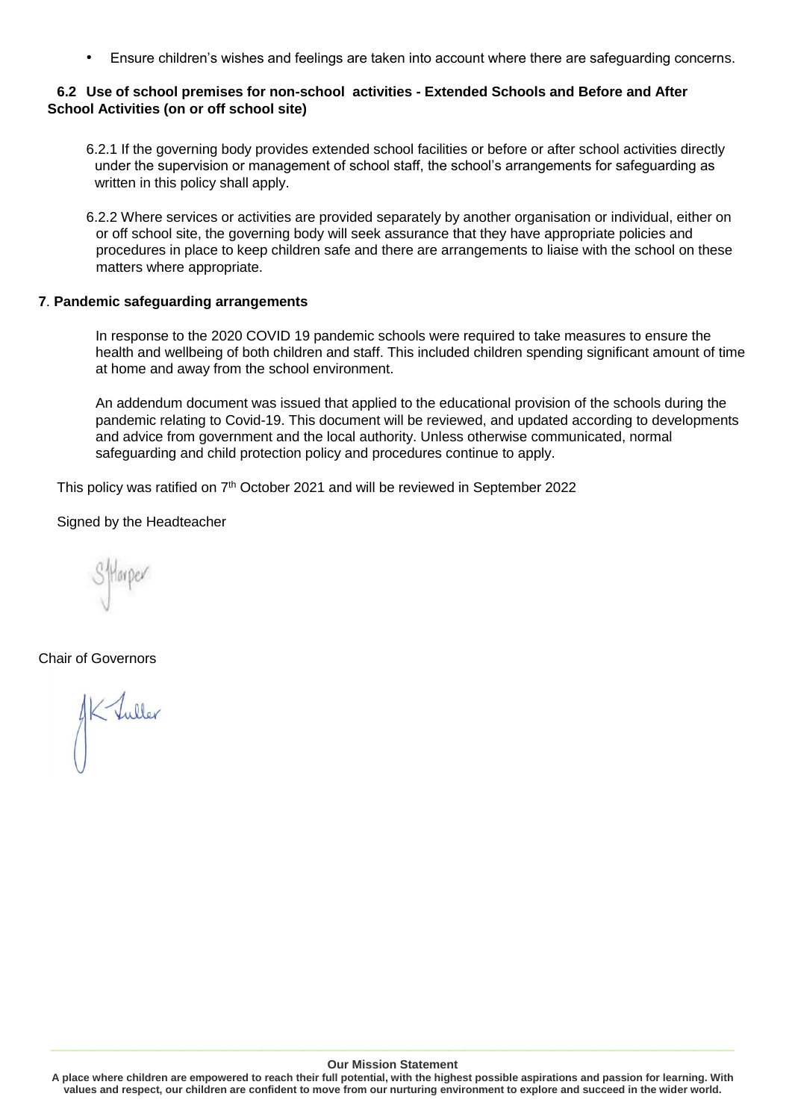• Ensure children's wishes and feelings are taken into account where there are safeguarding concerns.

## **6.2 Use of school premises for non-school activities - Extended Schools and Before and After School Activities (on or off school site)**

- 6.2.1 If the governing body provides extended school facilities or before or after school activities directly under the supervision or management of school staff, the school's arrangements for safeguarding as written in this policy shall apply.
- 6.2.2 Where services or activities are provided separately by another organisation or individual, either on or off school site, the governing body will seek assurance that they have appropriate policies and procedures in place to keep children safe and there are arrangements to liaise with the school on these matters where appropriate.

## **7**. **Pandemic safeguarding arrangements**

In response to the 2020 COVID 19 pandemic schools were required to take measures to ensure the health and wellbeing of both children and staff. This included children spending significant amount of time at home and away from the school environment.

An addendum document was issued that applied to the educational provision of the schools during the pandemic relating to Covid-19. This document will be reviewed, and updated according to developments and advice from government and the local authority. Unless otherwise communicated, normal safeguarding and child protection policy and procedures continue to apply.

This policy was ratified on 7<sup>th</sup> October 2021 and will be reviewed in September 2022

Signed by the Headteacher

Chair of Governors

AK Tuller

#### **Our Mission Statement**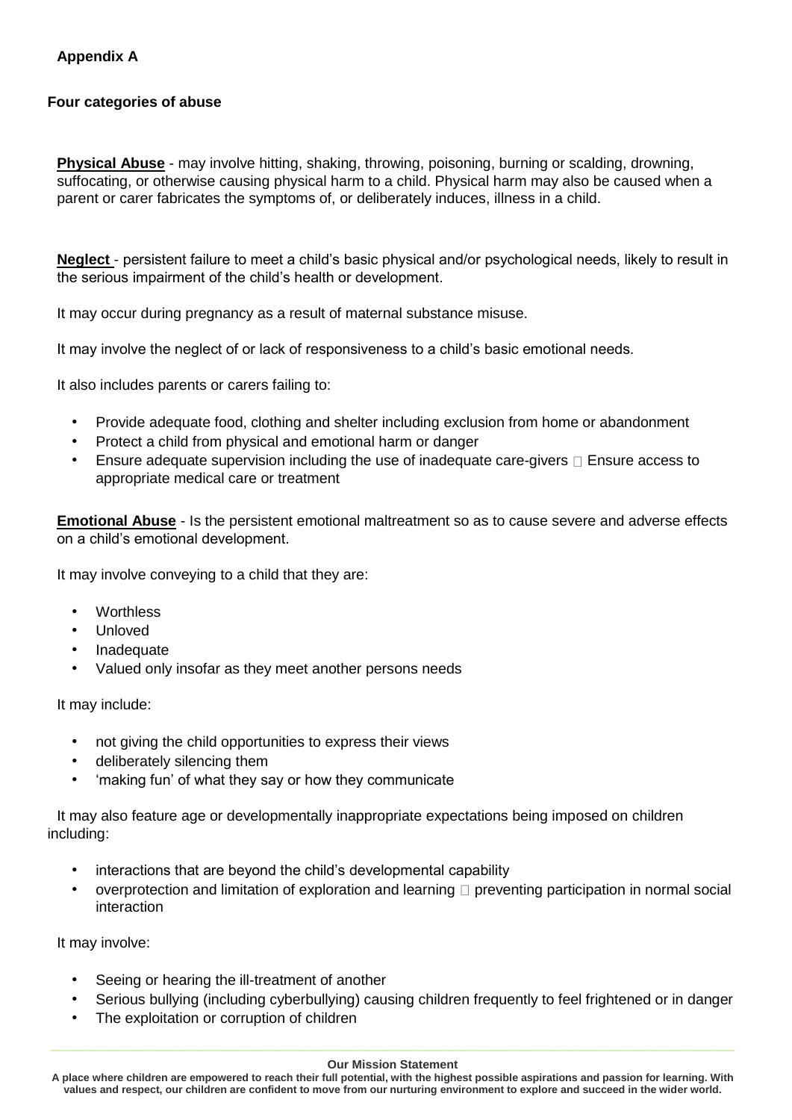## **Four categories of abuse**

**Physical Abuse** - may involve hitting, shaking, throwing, poisoning, burning or scalding, drowning, suffocating, or otherwise causing physical harm to a child. Physical harm may also be caused when a parent or carer fabricates the symptoms of, or deliberately induces, illness in a child.

**Neglect** - persistent failure to meet a child's basic physical and/or psychological needs, likely to result in the serious impairment of the child's health or development.

It may occur during pregnancy as a result of maternal substance misuse.

It may involve the neglect of or lack of responsiveness to a child's basic emotional needs.

It also includes parents or carers failing to:

- Provide adequate food, clothing and shelter including exclusion from home or abandonment
- Protect a child from physical and emotional harm or danger
- Ensure adequate supervision including the use of inadequate care-givers  $\Box$  Ensure access to appropriate medical care or treatment

**Emotional Abuse** - Is the persistent emotional maltreatment so as to cause severe and adverse effects on a child's emotional development.

It may involve conveying to a child that they are:

- Worthless
- Unloved
- **Inadequate**
- Valued only insofar as they meet another persons needs

It may include:

- not giving the child opportunities to express their views
- deliberately silencing them
- 'making fun' of what they say or how they communicate

It may also feature age or developmentally inappropriate expectations being imposed on children including:

- interactions that are beyond the child's developmental capability
- overprotection and limitation of exploration and learning  $\Box$  preventing participation in normal social interaction

It may involve:

- Seeing or hearing the ill-treatment of another
- Serious bullying (including cyberbullying) causing children frequently to feel frightened or in danger
- The exploitation or corruption of children

**A place where children are empowered to reach their full potential, with the highest possible aspirations and passion for learning. With values and respect, our children are confident to move from our nurturing environment to explore and succeed in the wider world.**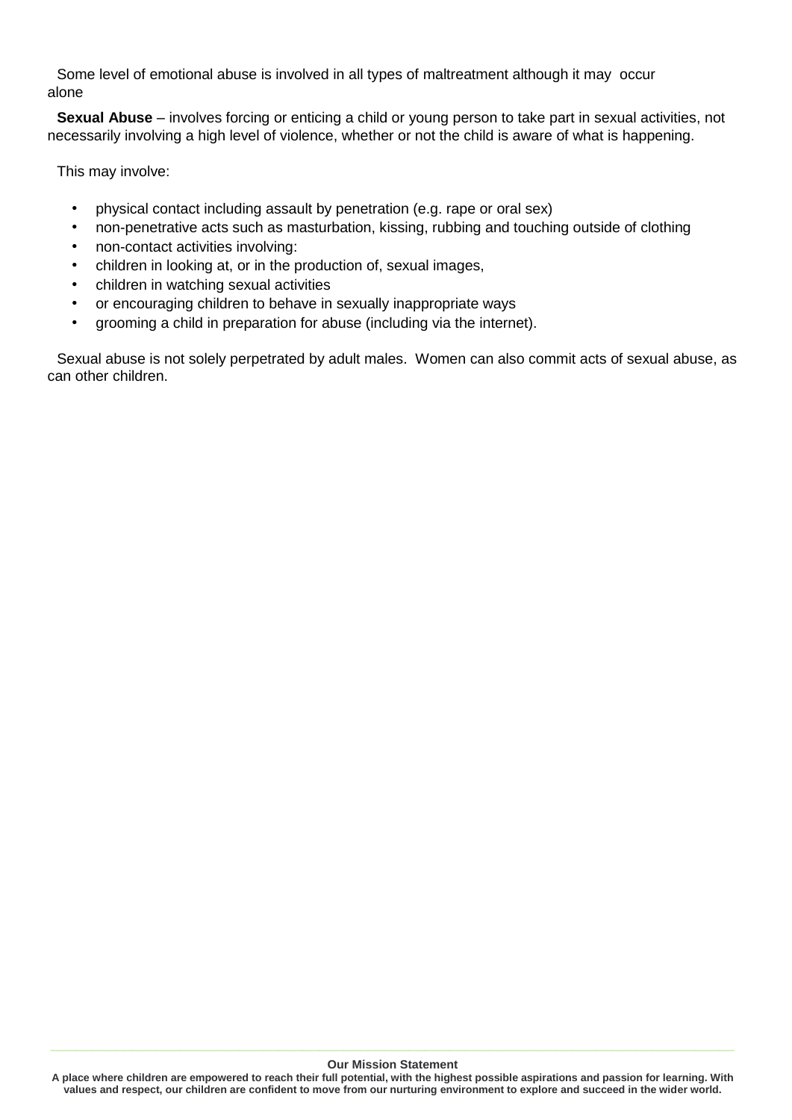Some level of emotional abuse is involved in all types of maltreatment although it may occur alone

**Sexual Abuse** – involves forcing or enticing a child or young person to take part in sexual activities, not necessarily involving a high level of violence, whether or not the child is aware of what is happening.

This may involve:

- physical contact including assault by penetration (e.g. rape or oral sex)
- non-penetrative acts such as masturbation, kissing, rubbing and touching outside of clothing
- non-contact activities involving:
- children in looking at, or in the production of, sexual images,
- children in watching sexual activities
- or encouraging children to behave in sexually inappropriate ways
- grooming a child in preparation for abuse (including via the internet).

Sexual abuse is not solely perpetrated by adult males. Women can also commit acts of sexual abuse, as can other children.

#### **Our Mission Statement**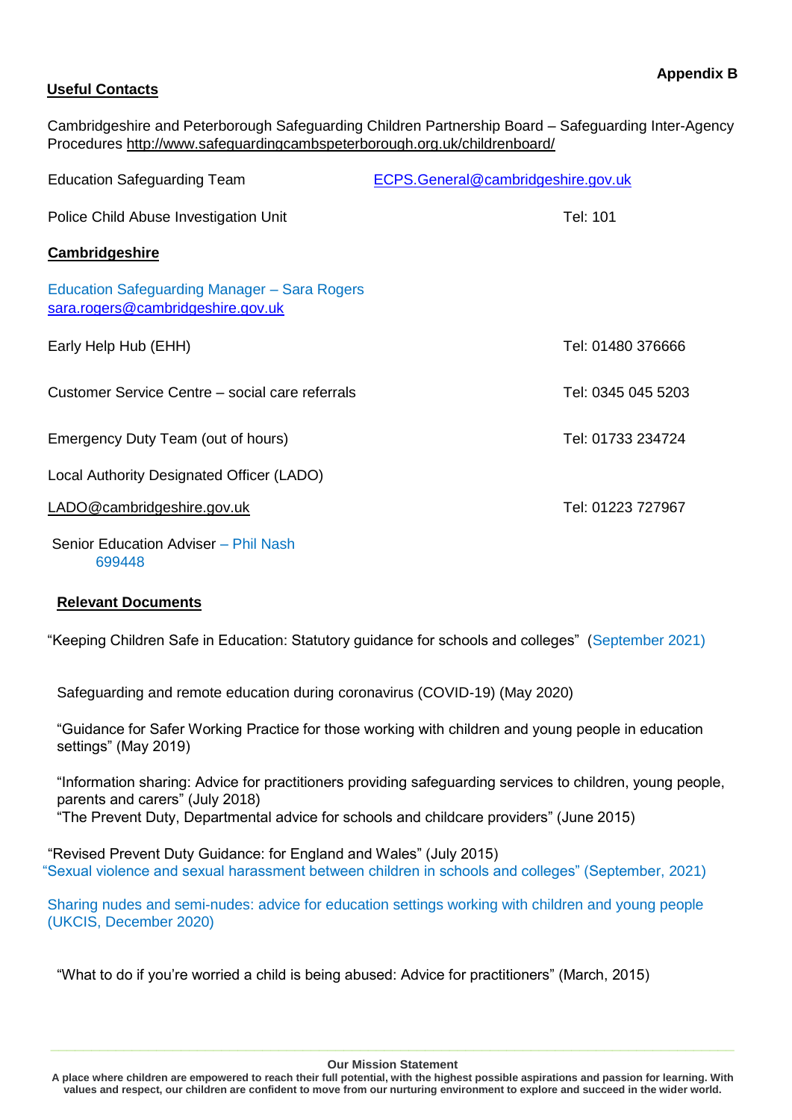## **Useful Contacts**

Cambridgeshire and Peterborough Safeguarding Children Partnership Board – Safeguarding Inter-Agency Procedures [http://www.safeguardingcambspeterborough.org.uk/childrenboard/](http://www.safeguardingcambspeterborough.org.uk/children-board/)

| <b>Education Safeguarding Team</b>                                                | ECPS.General@cambridgeshire.gov.uk |
|-----------------------------------------------------------------------------------|------------------------------------|
| Police Child Abuse Investigation Unit                                             | Tel: 101                           |
| <b>Cambridgeshire</b>                                                             |                                    |
| Education Safeguarding Manager - Sara Rogers<br>sara.rogers@cambridgeshire.gov.uk |                                    |
| Early Help Hub (EHH)                                                              | Tel: 01480 376666                  |
| Customer Service Centre – social care referrals                                   | Tel: 0345 045 5203                 |
| Emergency Duty Team (out of hours)                                                | Tel: 01733 234724                  |
| Local Authority Designated Officer (LADO)                                         |                                    |
| LADO@cambridgeshire.gov.uk                                                        | Tel: 01223 727967                  |
| Senior Education Adviser – Phil Nash                                              |                                    |

699448

## **Relevant Documents**

"Keeping Children Safe in Education: Statutory guidance for schools and colleges" (September 2021)

Safeguarding and remote education during coronavirus (COVID-19) (May 2020)

"Guidance for Safer Working Practice for those working with children and young people in education settings" (May 2019)

"Information sharing: Advice for practitioners providing safeguarding services to children, young people, parents and carers" (July 2018) "The Prevent Duty, Departmental advice for schools and childcare providers" (June 2015)

"Revised Prevent Duty Guidance: for England and Wales" (July 2015) "Sexual violence and sexual harassment between children in schools and colleges" (September, 2021)

Sharing nudes and semi-nudes: advice for education settings working with children and young people (UKCIS, December 2020)

"What to do if you're worried a child is being abused: Advice for practitioners" (March, 2015)

#### **Our Mission Statement**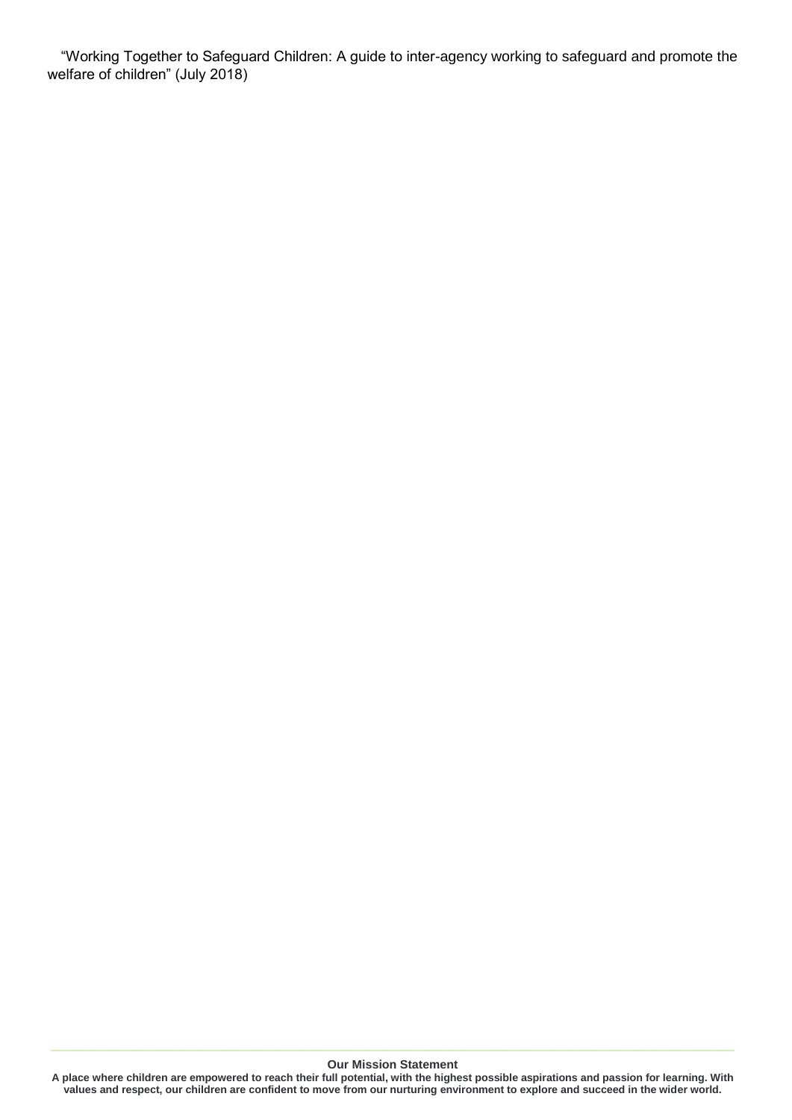"Working Together to Safeguard Children: A guide to inter-agency working to safeguard and promote the welfare of children" (July 2018)

**Our Mission Statement**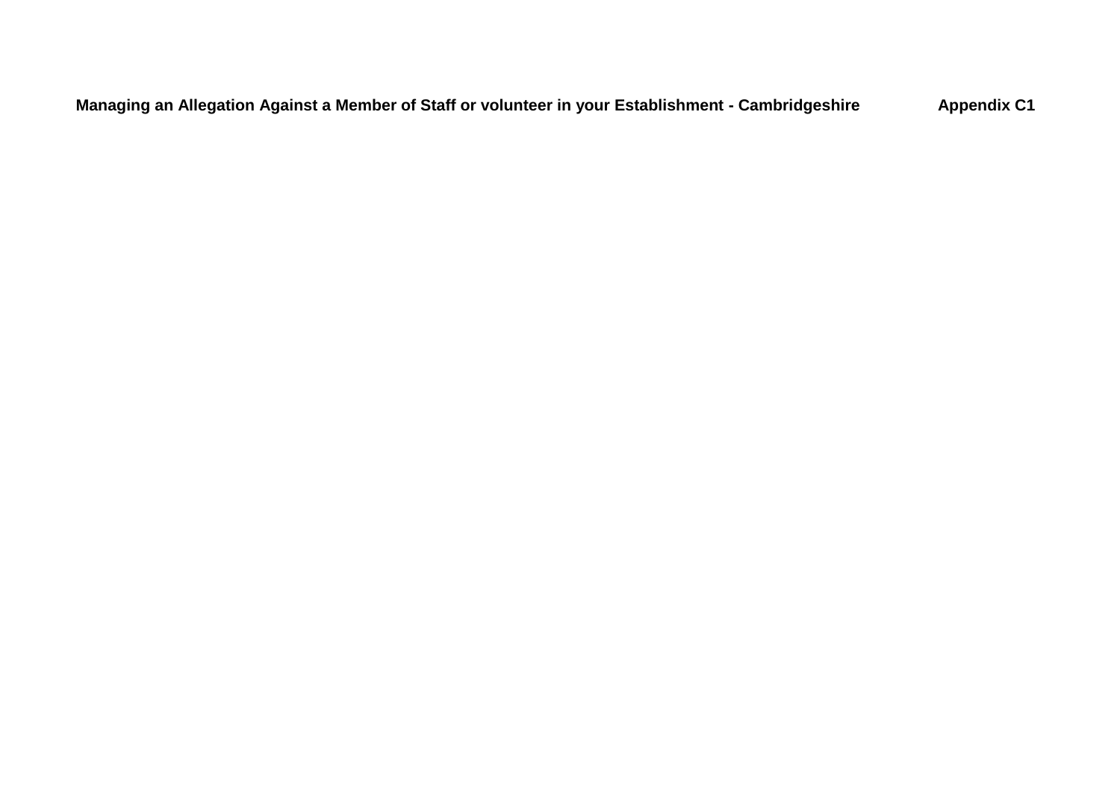**Managing an Allegation Against a Member of Staff or volunteer in your Establishment - Cambridgeshire Appendix C1**